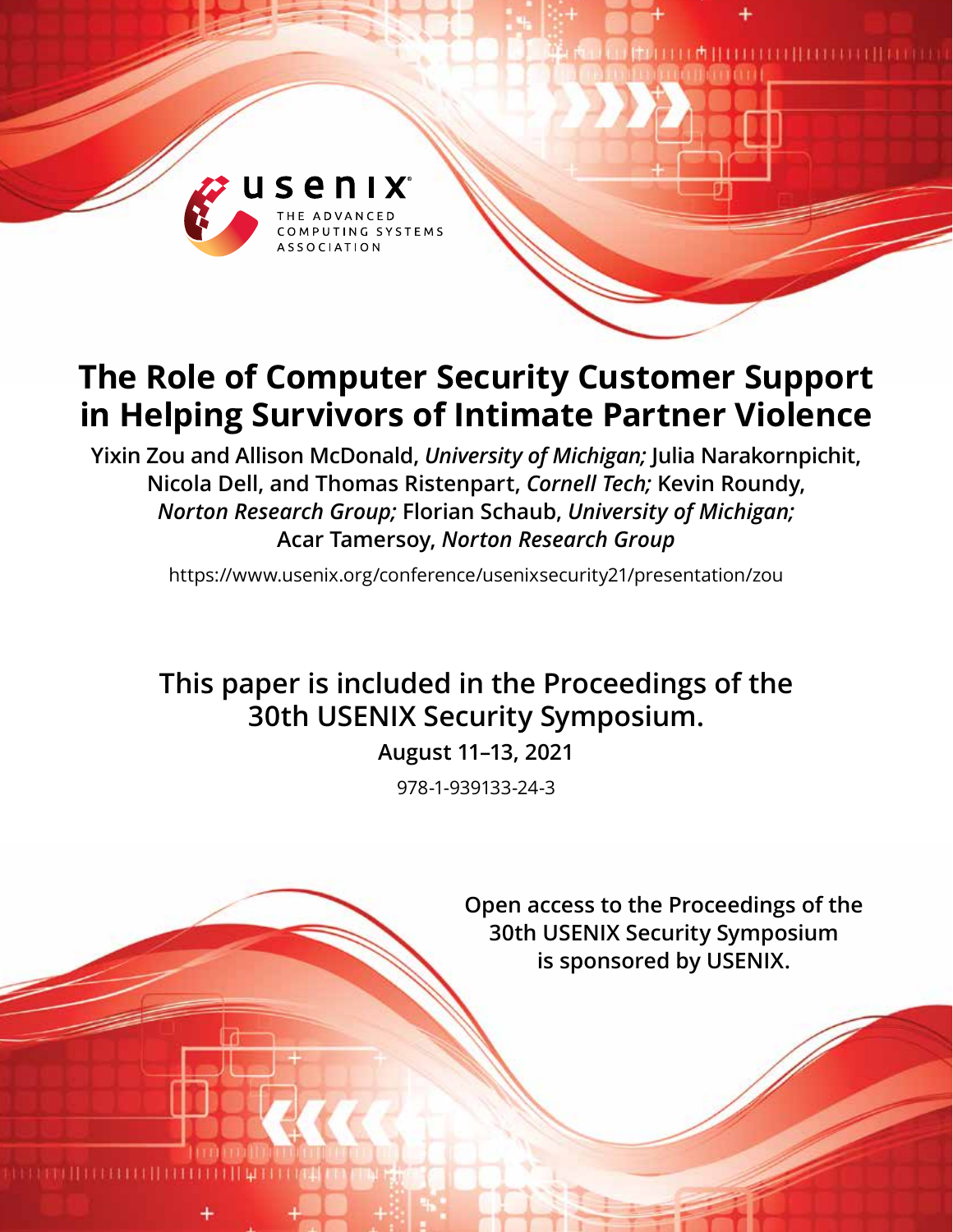

# **The Role of Computer Security Customer Support in Helping Survivors of Intimate Partner Violence**

**Yixin Zou and Allison McDonald,** *University of Michigan;* **Julia Narakornpichit, Nicola Dell, and Thomas Ristenpart,** *Cornell Tech;* **Kevin Roundy,** *Norton Research Group;* **Florian Schaub,** *University of Michigan;* **Acar Tamersoy,** *Norton Research Group*

https://www.usenix.org/conference/usenixsecurity21/presentation/zou

## **This paper is included in the Proceedings of the 30th USENIX Security Symposium.**

**August 11–13, 2021**

978-1-939133-24-3

**Open access to the Proceedings of the 30th USENIX Security Symposium is sponsored by USENIX.**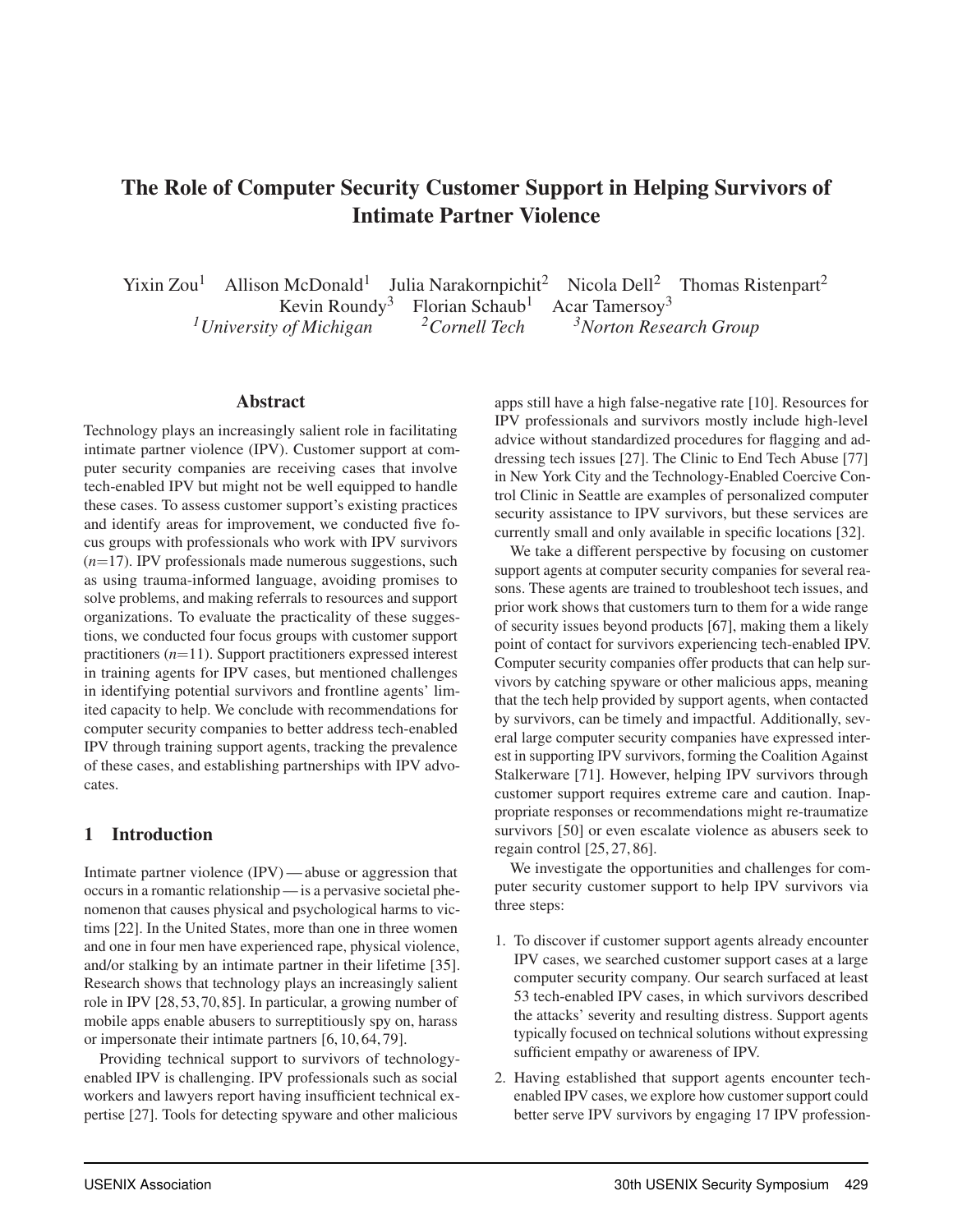### The Role of Computer Security Customer Support in Helping Survivors of Intimate Partner Violence

Yixin Zou<sup>1</sup> Allison McDonald<sup>1</sup> Julia Narakornpichit<sup>2</sup> Nicola Dell<sup>2</sup> Thomas Ristenpart<sup>2</sup> Kevin Roundy<sup>3</sup> Florian Schaub<sup>1</sup> Acar Tamersoy<sup>3</sup><br><sup>1</sup> University of Michigan<sup>2</sup> Cornell Tech<sup>3</sup>Norton Rese <sup>3</sup>Norton Research Group

#### Abstract

Technology plays an increasingly salient role in facilitating intimate partner violence (IPV). Customer support at computer security companies are receiving cases that involve tech-enabled IPV but might not be well equipped to handle these cases. To assess customer support's existing practices and identify areas for improvement, we conducted five focus groups with professionals who work with IPV survivors (*n*=17). IPV professionals made numerous suggestions, such as using trauma-informed language, avoiding promises to solve problems, and making referrals to resources and support organizations. To evaluate the practicality of these suggestions, we conducted four focus groups with customer support practitioners (*n*=11). Support practitioners expressed interest in training agents for IPV cases, but mentioned challenges in identifying potential survivors and frontline agents' limited capacity to help. We conclude with recommendations for computer security companies to better address tech-enabled IPV through training support agents, tracking the prevalence of these cases, and establishing partnerships with IPV advocates.

#### 1 Introduction

Intimate partner violence (IPV)— abuse or aggression that occurs in a romantic relationship — is a pervasive societal phenomenon that causes physical and psychological harms to victims [22]. In the United States, more than one in three women and one in four men have experienced rape, physical violence, and/or stalking by an intimate partner in their lifetime [35]. Research shows that technology plays an increasingly salient role in IPV [28, 53, 70, 85]. In particular, a growing number of mobile apps enable abusers to surreptitiously spy on, harass or impersonate their intimate partners [6, 10, 64, 79].

Providing technical support to survivors of technologyenabled IPV is challenging. IPV professionals such as social workers and lawyers report having insufficient technical expertise [27]. Tools for detecting spyware and other malicious

apps still have a high false-negative rate [10]. Resources for IPV professionals and survivors mostly include high-level advice without standardized procedures for flagging and addressing tech issues [27]. The Clinic to End Tech Abuse [77] in New York City and the Technology-Enabled Coercive Control Clinic in Seattle are examples of personalized computer security assistance to IPV survivors, but these services are currently small and only available in specific locations [32].

We take a different perspective by focusing on customer support agents at computer security companies for several reasons. These agents are trained to troubleshoot tech issues, and prior work shows that customers turn to them for a wide range of security issues beyond products [67], making them a likely point of contact for survivors experiencing tech-enabled IPV. Computer security companies offer products that can help survivors by catching spyware or other malicious apps, meaning that the tech help provided by support agents, when contacted by survivors, can be timely and impactful. Additionally, several large computer security companies have expressed interest in supporting IPV survivors, forming the Coalition Against Stalkerware [71]. However, helping IPV survivors through customer support requires extreme care and caution. Inappropriate responses or recommendations might re-traumatize survivors [50] or even escalate violence as abusers seek to regain control [25, 27, 86].

We investigate the opportunities and challenges for computer security customer support to help IPV survivors via three steps:

- 1. To discover if customer support agents already encounter IPV cases, we searched customer support cases at a large computer security company. Our search surfaced at least 53 tech-enabled IPV cases, in which survivors described the attacks' severity and resulting distress. Support agents typically focused on technical solutions without expressing sufficient empathy or awareness of IPV.
- 2. Having established that support agents encounter techenabled IPV cases, we explore how customer support could better serve IPV survivors by engaging 17 IPV profession-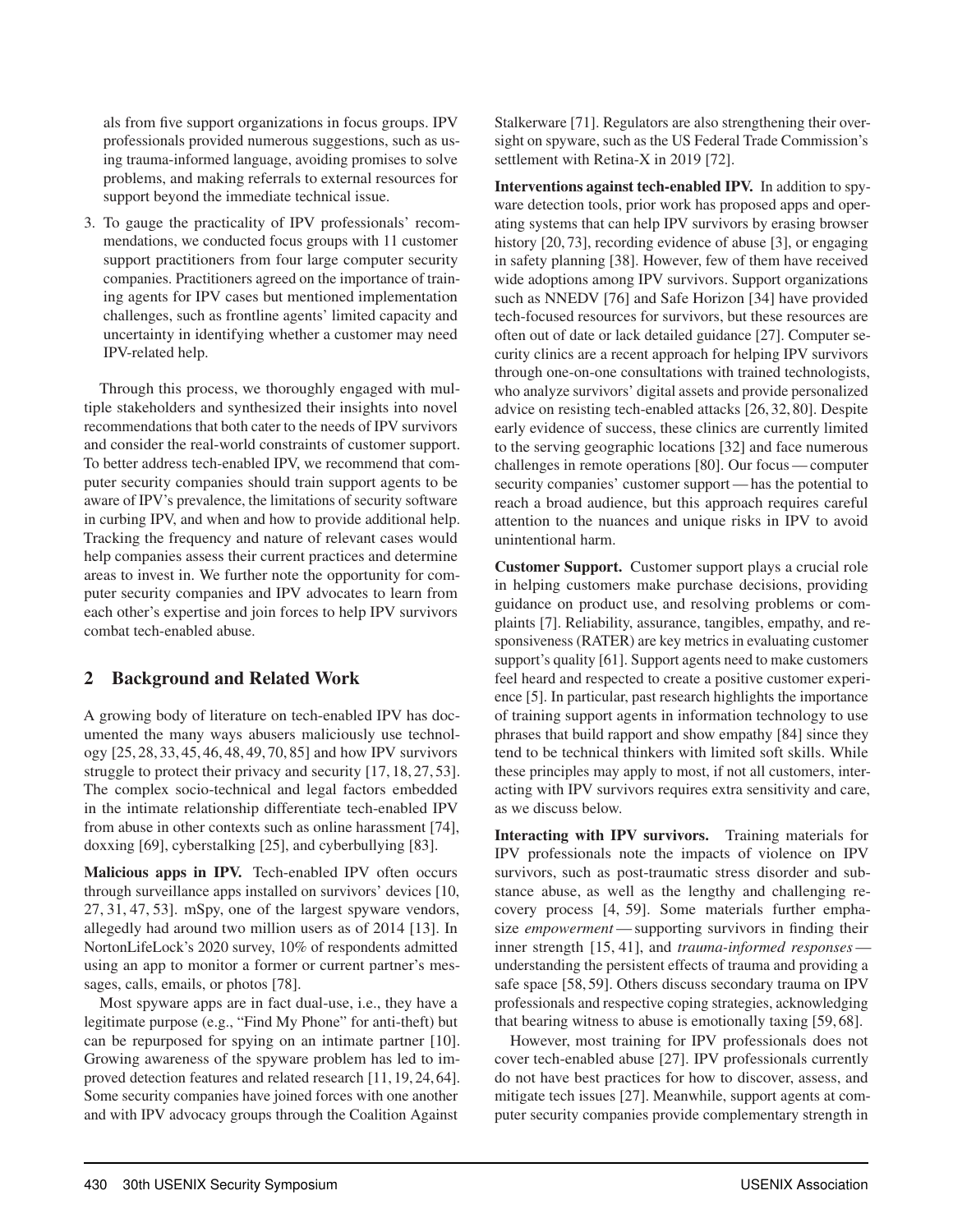als from five support organizations in focus groups. IPV professionals provided numerous suggestions, such as using trauma-informed language, avoiding promises to solve problems, and making referrals to external resources for support beyond the immediate technical issue.

3. To gauge the practicality of IPV professionals' recommendations, we conducted focus groups with 11 customer support practitioners from four large computer security companies. Practitioners agreed on the importance of training agents for IPV cases but mentioned implementation challenges, such as frontline agents' limited capacity and uncertainty in identifying whether a customer may need IPV-related help.

Through this process, we thoroughly engaged with multiple stakeholders and synthesized their insights into novel recommendations that both cater to the needs of IPV survivors and consider the real-world constraints of customer support. To better address tech-enabled IPV, we recommend that computer security companies should train support agents to be aware of IPV's prevalence, the limitations of security software in curbing IPV, and when and how to provide additional help. Tracking the frequency and nature of relevant cases would help companies assess their current practices and determine areas to invest in. We further note the opportunity for computer security companies and IPV advocates to learn from each other's expertise and join forces to help IPV survivors combat tech-enabled abuse.

#### 2 Background and Related Work

A growing body of literature on tech-enabled IPV has documented the many ways abusers maliciously use technology [25, 28, 33, 45, 46, 48, 49, 70, 85] and how IPV survivors struggle to protect their privacy and security [17, 18, 27, 53]. The complex socio-technical and legal factors embedded in the intimate relationship differentiate tech-enabled IPV from abuse in other contexts such as online harassment [74], doxxing [69], cyberstalking [25], and cyberbullying [83].

Malicious apps in IPV. Tech-enabled IPV often occurs through surveillance apps installed on survivors' devices [10, 27, 31, 47, 53]. mSpy, one of the largest spyware vendors, allegedly had around two million users as of 2014 [13]. In NortonLifeLock's 2020 survey, 10% of respondents admitted using an app to monitor a former or current partner's messages, calls, emails, or photos [78].

Most spyware apps are in fact dual-use, i.e., they have a legitimate purpose (e.g., "Find My Phone" for anti-theft) but can be repurposed for spying on an intimate partner [10]. Growing awareness of the spyware problem has led to improved detection features and related research [11, 19, 24, 64]. Some security companies have joined forces with one another and with IPV advocacy groups through the Coalition Against

Stalkerware [71]. Regulators are also strengthening their oversight on spyware, such as the US Federal Trade Commission's settlement with Retina-X in 2019 [72].

Interventions against tech-enabled IPV. In addition to spyware detection tools, prior work has proposed apps and operating systems that can help IPV survivors by erasing browser history [20, 73], recording evidence of abuse [3], or engaging in safety planning [38]. However, few of them have received wide adoptions among IPV survivors. Support organizations such as NNEDV [76] and Safe Horizon [34] have provided tech-focused resources for survivors, but these resources are often out of date or lack detailed guidance [27]. Computer security clinics are a recent approach for helping IPV survivors through one-on-one consultations with trained technologists, who analyze survivors' digital assets and provide personalized advice on resisting tech-enabled attacks [26, 32, 80]. Despite early evidence of success, these clinics are currently limited to the serving geographic locations [32] and face numerous challenges in remote operations [80]. Our focus — computer security companies' customer support— has the potential to reach a broad audience, but this approach requires careful attention to the nuances and unique risks in IPV to avoid unintentional harm.

Customer Support. Customer support plays a crucial role in helping customers make purchase decisions, providing guidance on product use, and resolving problems or complaints [7]. Reliability, assurance, tangibles, empathy, and responsiveness (RATER) are key metrics in evaluating customer support's quality [61]. Support agents need to make customers feel heard and respected to create a positive customer experience [5]. In particular, past research highlights the importance of training support agents in information technology to use phrases that build rapport and show empathy [84] since they tend to be technical thinkers with limited soft skills. While these principles may apply to most, if not all customers, interacting with IPV survivors requires extra sensitivity and care, as we discuss below.

Interacting with IPV survivors. Training materials for IPV professionals note the impacts of violence on IPV survivors, such as post-traumatic stress disorder and substance abuse, as well as the lengthy and challenging recovery process [4, 59]. Some materials further emphasize *empowerment* — supporting survivors in finding their inner strength [15, 41], and *trauma-informed responses* understanding the persistent effects of trauma and providing a safe space [58, 59]. Others discuss secondary trauma on IPV professionals and respective coping strategies, acknowledging that bearing witness to abuse is emotionally taxing [59, 68].

However, most training for IPV professionals does not cover tech-enabled abuse [27]. IPV professionals currently do not have best practices for how to discover, assess, and mitigate tech issues [27]. Meanwhile, support agents at computer security companies provide complementary strength in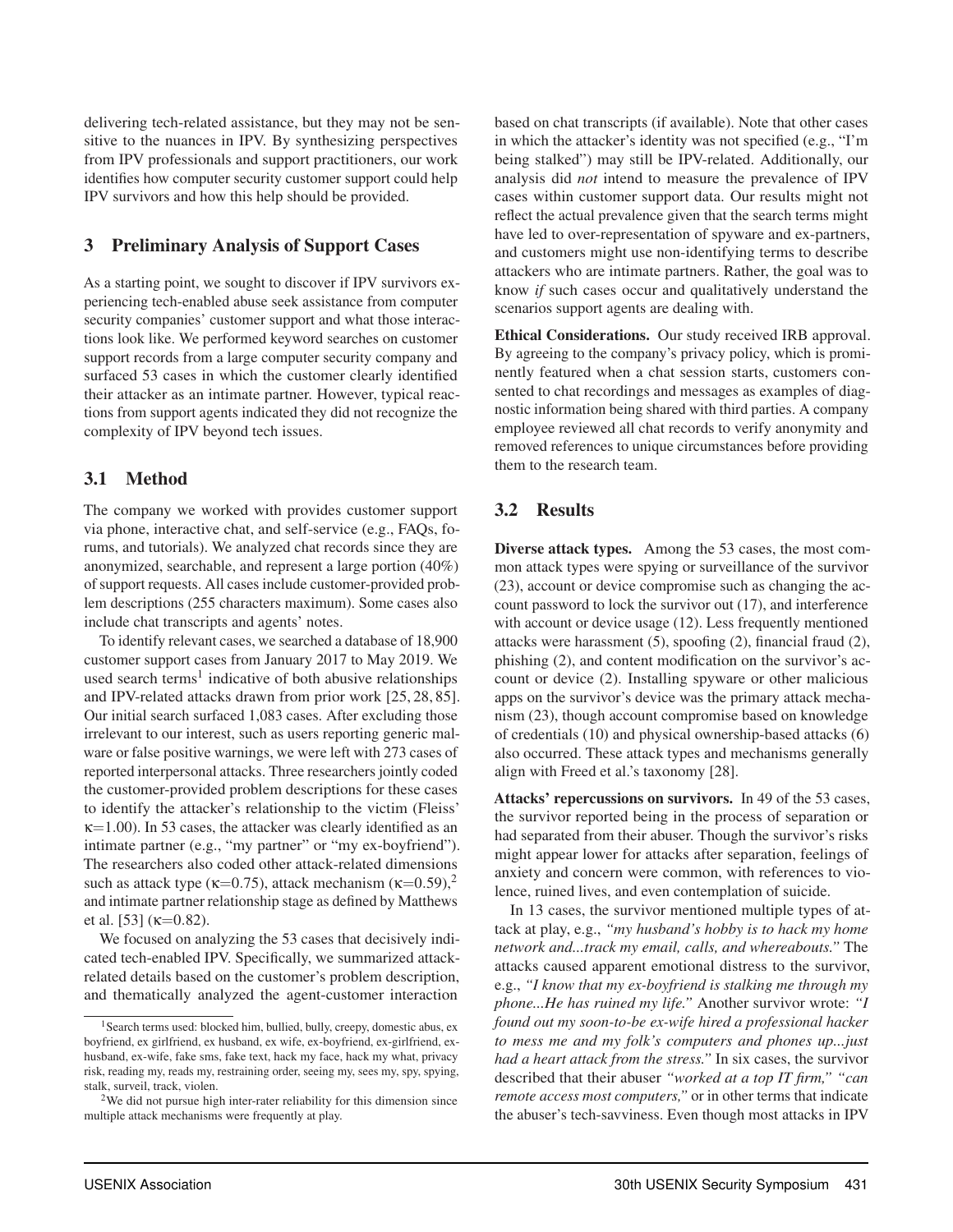delivering tech-related assistance, but they may not be sensitive to the nuances in IPV. By synthesizing perspectives from IPV professionals and support practitioners, our work identifies how computer security customer support could help IPV survivors and how this help should be provided.

#### 3 Preliminary Analysis of Support Cases

As a starting point, we sought to discover if IPV survivors experiencing tech-enabled abuse seek assistance from computer security companies' customer support and what those interactions look like. We performed keyword searches on customer support records from a large computer security company and surfaced 53 cases in which the customer clearly identified their attacker as an intimate partner. However, typical reactions from support agents indicated they did not recognize the complexity of IPV beyond tech issues.

#### 3.1 Method

The company we worked with provides customer support via phone, interactive chat, and self-service (e.g., FAQs, forums, and tutorials). We analyzed chat records since they are anonymized, searchable, and represent a large portion (40%) of support requests. All cases include customer-provided problem descriptions (255 characters maximum). Some cases also include chat transcripts and agents' notes.

To identify relevant cases, we searched a database of 18,900 customer support cases from January 2017 to May 2019. We used search terms<sup>1</sup> indicative of both abusive relationships and IPV-related attacks drawn from prior work [25, 28, 85]. Our initial search surfaced 1,083 cases. After excluding those irrelevant to our interest, such as users reporting generic malware or false positive warnings, we were left with 273 cases of reported interpersonal attacks. Three researchers jointly coded the customer-provided problem descriptions for these cases to identify the attacker's relationship to the victim (Fleiss'  $\kappa$ =1.00). In 53 cases, the attacker was clearly identified as an intimate partner (e.g., "my partner" or "my ex-boyfriend"). The researchers also coded other attack-related dimensions such as attack type ( $\kappa$ =0.75), attack mechanism ( $\kappa$ =0.59),<sup>2</sup> and intimate partner relationship stage as defined by Matthews et al. [53] ( $\kappa$ =0.82).

We focused on analyzing the 53 cases that decisively indicated tech-enabled IPV. Specifically, we summarized attackrelated details based on the customer's problem description, and thematically analyzed the agent-customer interaction

based on chat transcripts (if available). Note that other cases in which the attacker's identity was not specified (e.g., "I'm being stalked") may still be IPV-related. Additionally, our analysis did *not* intend to measure the prevalence of IPV cases within customer support data. Our results might not reflect the actual prevalence given that the search terms might have led to over-representation of spyware and ex-partners, and customers might use non-identifying terms to describe attackers who are intimate partners. Rather, the goal was to know *if* such cases occur and qualitatively understand the scenarios support agents are dealing with.

Ethical Considerations. Our study received IRB approval. By agreeing to the company's privacy policy, which is prominently featured when a chat session starts, customers consented to chat recordings and messages as examples of diagnostic information being shared with third parties. A company employee reviewed all chat records to verify anonymity and removed references to unique circumstances before providing them to the research team.

#### 3.2 Results

Diverse attack types. Among the 53 cases, the most common attack types were spying or surveillance of the survivor (23), account or device compromise such as changing the account password to lock the survivor out (17), and interference with account or device usage (12). Less frequently mentioned attacks were harassment (5), spoofing (2), financial fraud (2), phishing (2), and content modification on the survivor's account or device (2). Installing spyware or other malicious apps on the survivor's device was the primary attack mechanism (23), though account compromise based on knowledge of credentials (10) and physical ownership-based attacks (6) also occurred. These attack types and mechanisms generally align with Freed et al.'s taxonomy [28].

Attacks' repercussions on survivors. In 49 of the 53 cases, the survivor reported being in the process of separation or had separated from their abuser. Though the survivor's risks might appear lower for attacks after separation, feelings of anxiety and concern were common, with references to violence, ruined lives, and even contemplation of suicide.

In 13 cases, the survivor mentioned multiple types of attack at play, e.g., *"my husband's hobby is to hack my home network and...track my email, calls, and whereabouts."* The attacks caused apparent emotional distress to the survivor, e.g., *"I know that my ex-boyfriend is stalking me through my phone...He has ruined my life."* Another survivor wrote: *"I found out my soon-to-be ex-wife hired a professional hacker to mess me and my folk's computers and phones up...just had a heart attack from the stress."* In six cases, the survivor described that their abuser *"worked at a top IT firm," "can remote access most computers,"* or in other terms that indicate the abuser's tech-savviness. Even though most attacks in IPV

<sup>&</sup>lt;sup>1</sup> Search terms used: blocked him, bullied, bully, creepy, domestic abus, ex boyfriend, ex girlfriend, ex husband, ex wife, ex-boyfriend, ex-girlfriend, exhusband, ex-wife, fake sms, fake text, hack my face, hack my what, privacy risk, reading my, reads my, restraining order, seeing my, sees my, spy, spying, stalk, surveil, track, violen.

<sup>&</sup>lt;sup>2</sup>We did not pursue high inter-rater reliability for this dimension since multiple attack mechanisms were frequently at play.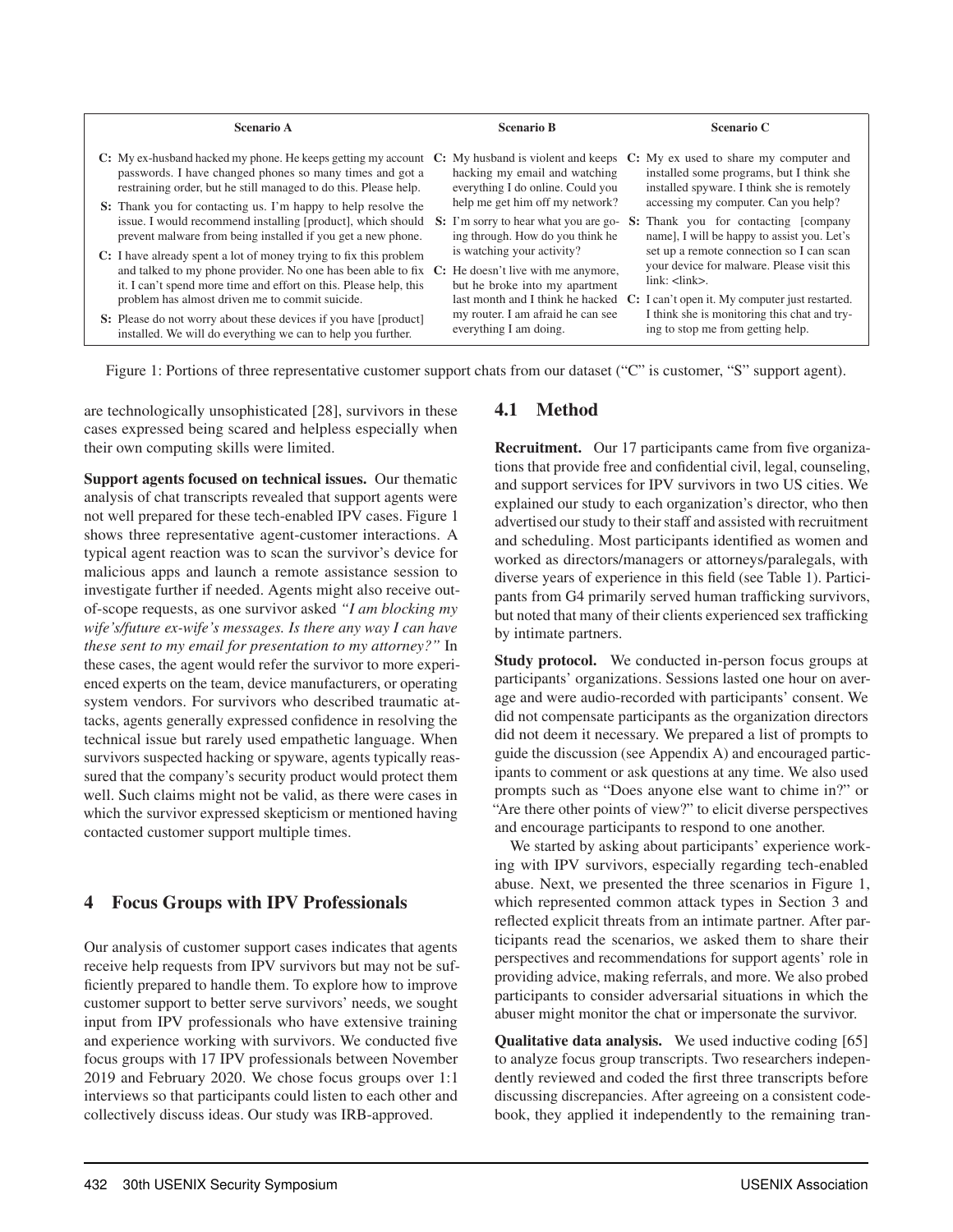| Scenario A                                                                                                                                                                                                                                             | <b>Scenario B</b>                                                                                            | <b>Scenario C</b>                                                                                                                                                     |
|--------------------------------------------------------------------------------------------------------------------------------------------------------------------------------------------------------------------------------------------------------|--------------------------------------------------------------------------------------------------------------|-----------------------------------------------------------------------------------------------------------------------------------------------------------------------|
| C: My ex-husband hacked my phone. He keeps getting my account $C$ :<br>passwords. I have changed phones so many times and got a<br>restraining order, but he still managed to do this. Please help.                                                    | My husband is violent and keeps<br>hacking my email and watching<br>everything I do online. Could you        | C: My ex used to share my computer and<br>installed some programs, but I think she<br>installed spyware. I think she is remotely                                      |
| S: Thank you for contacting us. I'm happy to help resolve the<br>issue. I would recommend installing [product], which should<br>prevent malware from being installed if you get a new phone.                                                           | help me get him off my network?<br>S: I'm sorry to hear what you are go-<br>ing through. How do you think he | accessing my computer. Can you help?<br><b>S:</b> Thank you for contacting [company<br>name], I will be happy to assist you. Let's                                    |
| C: I have already spent a lot of money trying to fix this problem<br>and talked to my phone provider. No one has been able to fix $\mathbb{C}$ : He doesn't live with me anymore,<br>it. I can't spend more time and effort on this. Please help, this | is watching your activity?<br>but he broke into my apartment                                                 | set up a remote connection so I can scan<br>your device for malware. Please visit this<br>link: <link/>                                                               |
| problem has almost driven me to commit suicide.<br>S: Please do not worry about these devices if you have [product]<br>installed. We will do everything we can to help you further.                                                                    | my router. I am afraid he can see<br>everything I am doing.                                                  | last month and I think he hacked C: I can't open it. My computer just restarted.<br>I think she is monitoring this chat and try-<br>ing to stop me from getting help. |

Figure 1: Portions of three representative customer support chats from our dataset ("C" is customer, "S" support agent).

are technologically unsophisticated [28], survivors in these cases expressed being scared and helpless especially when their own computing skills were limited.

Support agents focused on technical issues. Our thematic analysis of chat transcripts revealed that support agents were not well prepared for these tech-enabled IPV cases. Figure 1 shows three representative agent-customer interactions. A typical agent reaction was to scan the survivor's device for malicious apps and launch a remote assistance session to investigate further if needed. Agents might also receive outof-scope requests, as one survivor asked *"I am blocking my wife's/future ex-wife's messages. Is there any way I can have these sent to my email for presentation to my attorney?"* In these cases, the agent would refer the survivor to more experienced experts on the team, device manufacturers, or operating system vendors. For survivors who described traumatic attacks, agents generally expressed confidence in resolving the technical issue but rarely used empathetic language. When survivors suspected hacking or spyware, agents typically reassured that the company's security product would protect them well. Such claims might not be valid, as there were cases in which the survivor expressed skepticism or mentioned having contacted customer support multiple times.

#### 4 Focus Groups with IPV Professionals

Our analysis of customer support cases indicates that agents receive help requests from IPV survivors but may not be sufficiently prepared to handle them. To explore how to improve customer support to better serve survivors' needs, we sought input from IPV professionals who have extensive training and experience working with survivors. We conducted five focus groups with 17 IPV professionals between November 2019 and February 2020. We chose focus groups over 1:1 interviews so that participants could listen to each other and collectively discuss ideas. Our study was IRB-approved.

#### 4.1 Method

Recruitment. Our 17 participants came from five organizations that provide free and confidential civil, legal, counseling, and support services for IPV survivors in two US cities. We explained our study to each organization's director, who then advertised our study to their staff and assisted with recruitment and scheduling. Most participants identified as women and worked as directors/managers or attorneys/paralegals, with diverse years of experience in this field (see Table 1). Participants from G4 primarily served human trafficking survivors, but noted that many of their clients experienced sex trafficking by intimate partners.

Study protocol. We conducted in-person focus groups at participants' organizations. Sessions lasted one hour on average and were audio-recorded with participants' consent. We did not compensate participants as the organization directors did not deem it necessary. We prepared a list of prompts to guide the discussion (see Appendix A) and encouraged participants to comment or ask questions at any time. We also used prompts such as "Does anyone else want to chime in?" or "Are there other points of view?" to elicit diverse perspectives and encourage participants to respond to one another.

We started by asking about participants' experience working with IPV survivors, especially regarding tech-enabled abuse. Next, we presented the three scenarios in Figure 1, which represented common attack types in Section 3 and reflected explicit threats from an intimate partner. After participants read the scenarios, we asked them to share their perspectives and recommendations for support agents' role in providing advice, making referrals, and more. We also probed participants to consider adversarial situations in which the abuser might monitor the chat or impersonate the survivor.

Qualitative data analysis. We used inductive coding [65] to analyze focus group transcripts. Two researchers independently reviewed and coded the first three transcripts before discussing discrepancies. After agreeing on a consistent codebook, they applied it independently to the remaining tran-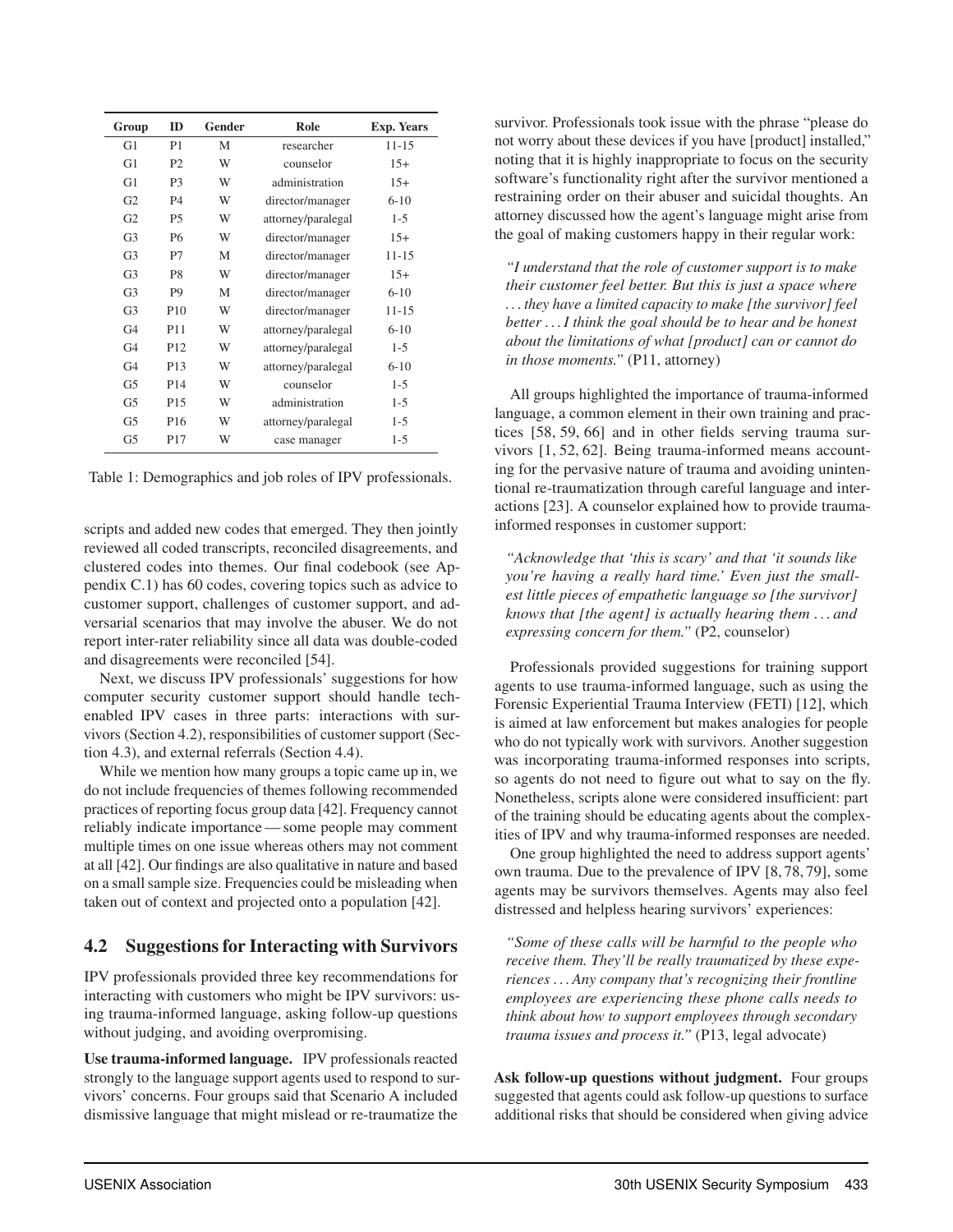| Group          | ID              | Gender | Role               | <b>Exp. Years</b> |
|----------------|-----------------|--------|--------------------|-------------------|
| G1             | P <sub>1</sub>  | М      | researcher         | $11 - 15$         |
| G1             | P <sub>2</sub>  | W      | counselor          | $15+$             |
| G1             | P <sub>3</sub>  | W      | administration     | $15+$             |
| G <sub>2</sub> | P4              | W      | director/manager   | $6 - 10$          |
| G <sub>2</sub> | <b>P5</b>       | W      | attorney/paralegal | $1 - 5$           |
| G <sub>3</sub> | <b>P6</b>       | W      | director/manager   | $15+$             |
| G <sub>3</sub> | P7              | М      | director/manager   | 11-15             |
| G <sub>3</sub> | P8              | W      | director/manager   | $15+$             |
| G <sub>3</sub> | P <sub>9</sub>  | M      | director/manager   | $6 - 10$          |
| G <sub>3</sub> | P <sub>10</sub> | W      | director/manager   | 11-15             |
| G <sub>4</sub> | P <sub>11</sub> | W      | attorney/paralegal | $6 - 10$          |
| G <sub>4</sub> | P <sub>12</sub> | W      | attorney/paralegal | $1-5$             |
| G <sub>4</sub> | P <sub>13</sub> | W      | attorney/paralegal | $6 - 10$          |
| G5             | P <sub>14</sub> | W      | counselor          | $1 - 5$           |
| G5             | P <sub>15</sub> | W      | administration     | $1 - 5$           |
| G5             | P <sub>16</sub> | W      | attorney/paralegal | $1 - 5$           |
| G5             | P17             | W      | case manager       | $1-5$             |

Table 1: Demographics and job roles of IPV professionals.

scripts and added new codes that emerged. They then jointly reviewed all coded transcripts, reconciled disagreements, and clustered codes into themes. Our final codebook (see Appendix C.1) has 60 codes, covering topics such as advice to customer support, challenges of customer support, and adversarial scenarios that may involve the abuser. We do not report inter-rater reliability since all data was double-coded and disagreements were reconciled [54].

Next, we discuss IPV professionals' suggestions for how computer security customer support should handle techenabled IPV cases in three parts: interactions with survivors (Section 4.2), responsibilities of customer support (Section 4.3), and external referrals (Section 4.4).

While we mention how many groups a topic came up in, we do not include frequencies of themes following recommended practices of reporting focus group data [42]. Frequency cannot reliably indicate importance— some people may comment multiple times on one issue whereas others may not comment at all [42]. Our findings are also qualitative in nature and based on a small sample size. Frequencies could be misleading when taken out of context and projected onto a population [42].

#### 4.2 Suggestions for Interacting with Survivors

IPV professionals provided three key recommendations for interacting with customers who might be IPV survivors: using trauma-informed language, asking follow-up questions without judging, and avoiding overpromising.

Use trauma-informed language. IPV professionals reacted strongly to the language support agents used to respond to survivors' concerns. Four groups said that Scenario A included dismissive language that might mislead or re-traumatize the

survivor. Professionals took issue with the phrase "please do not worry about these devices if you have [product] installed," noting that it is highly inappropriate to focus on the security software's functionality right after the survivor mentioned a restraining order on their abuser and suicidal thoughts. An attorney discussed how the agent's language might arise from the goal of making customers happy in their regular work:

*"I understand that the role of customer support is to make their customer feel better. But this is just a space where . . . they have a limited capacity to make [the survivor] feel better ...I think the goal should be to hear and be honest about the limitations of what [product] can or cannot do in those moments."* (P11, attorney)

All groups highlighted the importance of trauma-informed language, a common element in their own training and practices [58, 59, 66] and in other fields serving trauma survivors [1, 52, 62]. Being trauma-informed means accounting for the pervasive nature of trauma and avoiding unintentional re-traumatization through careful language and interactions [23]. A counselor explained how to provide traumainformed responses in customer support:

*"Acknowledge that 'this is scary' and that 'it sounds like you're having a really hard time.' Even just the smallest little pieces of empathetic language so [the survivor] knows that [the agent] is actually hearing them . . . and expressing concern for them."* (P2, counselor)

Professionals provided suggestions for training support agents to use trauma-informed language, such as using the Forensic Experiential Trauma Interview (FETI) [12], which is aimed at law enforcement but makes analogies for people who do not typically work with survivors. Another suggestion was incorporating trauma-informed responses into scripts, so agents do not need to figure out what to say on the fly. Nonetheless, scripts alone were considered insufficient: part of the training should be educating agents about the complexities of IPV and why trauma-informed responses are needed.

One group highlighted the need to address support agents' own trauma. Due to the prevalence of IPV [8, 78, 79], some agents may be survivors themselves. Agents may also feel distressed and helpless hearing survivors' experiences:

*"Some of these calls will be harmful to the people who receive them. They'll be really traumatized by these experiences . . . Any company that's recognizing their frontline employees are experiencing these phone calls needs to think about how to support employees through secondary trauma issues and process it."* (P13, legal advocate)

Ask follow-up questions without judgment. Four groups suggested that agents could ask follow-up questions to surface additional risks that should be considered when giving advice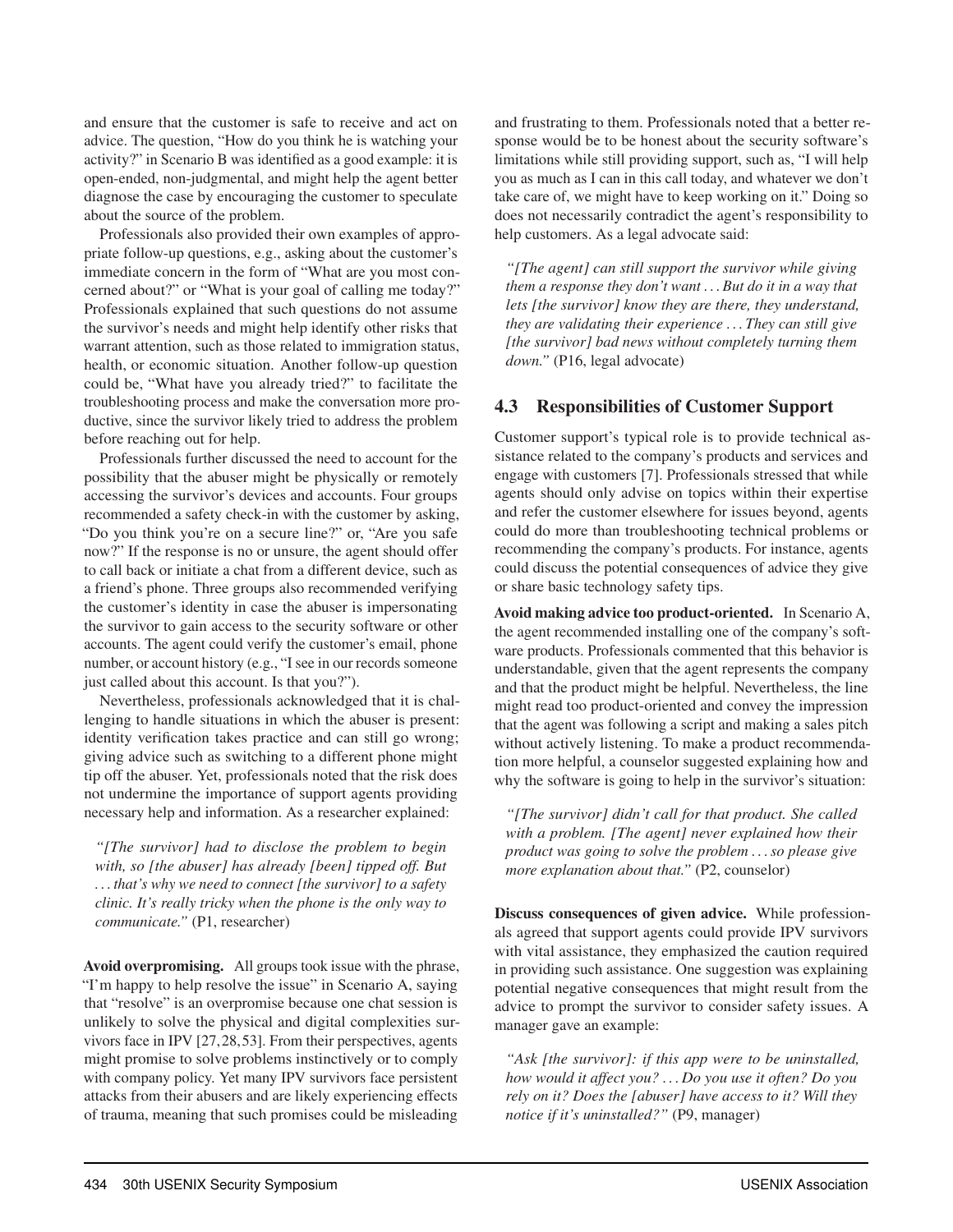and ensure that the customer is safe to receive and act on advice. The question, "How do you think he is watching your activity?" in Scenario B was identified as a good example: it is open-ended, non-judgmental, and might help the agent better diagnose the case by encouraging the customer to speculate about the source of the problem.

Professionals also provided their own examples of appropriate follow-up questions, e.g., asking about the customer's immediate concern in the form of "What are you most concerned about?" or "What is your goal of calling me today?" Professionals explained that such questions do not assume the survivor's needs and might help identify other risks that warrant attention, such as those related to immigration status, health, or economic situation. Another follow-up question could be, "What have you already tried?" to facilitate the troubleshooting process and make the conversation more productive, since the survivor likely tried to address the problem before reaching out for help.

Professionals further discussed the need to account for the possibility that the abuser might be physically or remotely accessing the survivor's devices and accounts. Four groups recommended a safety check-in with the customer by asking, "Do you think you're on a secure line?" or, "Are you safe now?" If the response is no or unsure, the agent should offer to call back or initiate a chat from a different device, such as a friend's phone. Three groups also recommended verifying the customer's identity in case the abuser is impersonating the survivor to gain access to the security software or other accounts. The agent could verify the customer's email, phone number, or account history (e.g., "I see in our records someone just called about this account. Is that you?").

Nevertheless, professionals acknowledged that it is challenging to handle situations in which the abuser is present: identity verification takes practice and can still go wrong; giving advice such as switching to a different phone might tip off the abuser. Yet, professionals noted that the risk does not undermine the importance of support agents providing necessary help and information. As a researcher explained:

*"[The survivor] had to disclose the problem to begin with, so [the abuser] has already [been] tipped off. But . . . that's why we need to connect [the survivor] to a safety clinic. It's really tricky when the phone is the only way to communicate."* (P1, researcher)

Avoid overpromising. All groups took issue with the phrase, "I'm happy to help resolve the issue" in Scenario A, saying that "resolve" is an overpromise because one chat session is unlikely to solve the physical and digital complexities survivors face in IPV [27,28,53]. From their perspectives, agents might promise to solve problems instinctively or to comply with company policy. Yet many IPV survivors face persistent attacks from their abusers and are likely experiencing effects of trauma, meaning that such promises could be misleading

and frustrating to them. Professionals noted that a better response would be to be honest about the security software's limitations while still providing support, such as, "I will help you as much as I can in this call today, and whatever we don't take care of, we might have to keep working on it." Doing so does not necessarily contradict the agent's responsibility to help customers. As a legal advocate said:

*"[The agent] can still support the survivor while giving them a response they don't want . . . But do it in a way that lets [the survivor] know they are there, they understand, they are validating their experience . . . They can still give [the survivor] bad news without completely turning them down."* (P16, legal advocate)

#### 4.3 Responsibilities of Customer Support

Customer support's typical role is to provide technical assistance related to the company's products and services and engage with customers [7]. Professionals stressed that while agents should only advise on topics within their expertise and refer the customer elsewhere for issues beyond, agents could do more than troubleshooting technical problems or recommending the company's products. For instance, agents could discuss the potential consequences of advice they give or share basic technology safety tips.

Avoid making advice too product-oriented. In Scenario A, the agent recommended installing one of the company's software products. Professionals commented that this behavior is understandable, given that the agent represents the company and that the product might be helpful. Nevertheless, the line might read too product-oriented and convey the impression that the agent was following a script and making a sales pitch without actively listening. To make a product recommendation more helpful, a counselor suggested explaining how and why the software is going to help in the survivor's situation:

*"[The survivor] didn't call for that product. She called with a problem. [The agent] never explained how their product was going to solve the problem . . . so please give more explanation about that."* (P2, counselor)

Discuss consequences of given advice. While professionals agreed that support agents could provide IPV survivors with vital assistance, they emphasized the caution required in providing such assistance. One suggestion was explaining potential negative consequences that might result from the advice to prompt the survivor to consider safety issues. A manager gave an example:

*"Ask [the survivor]: if this app were to be uninstalled, how would it affect you? . . . Do you use it often? Do you rely on it? Does the [abuser] have access to it? Will they notice if it's uninstalled?"* (P9, manager)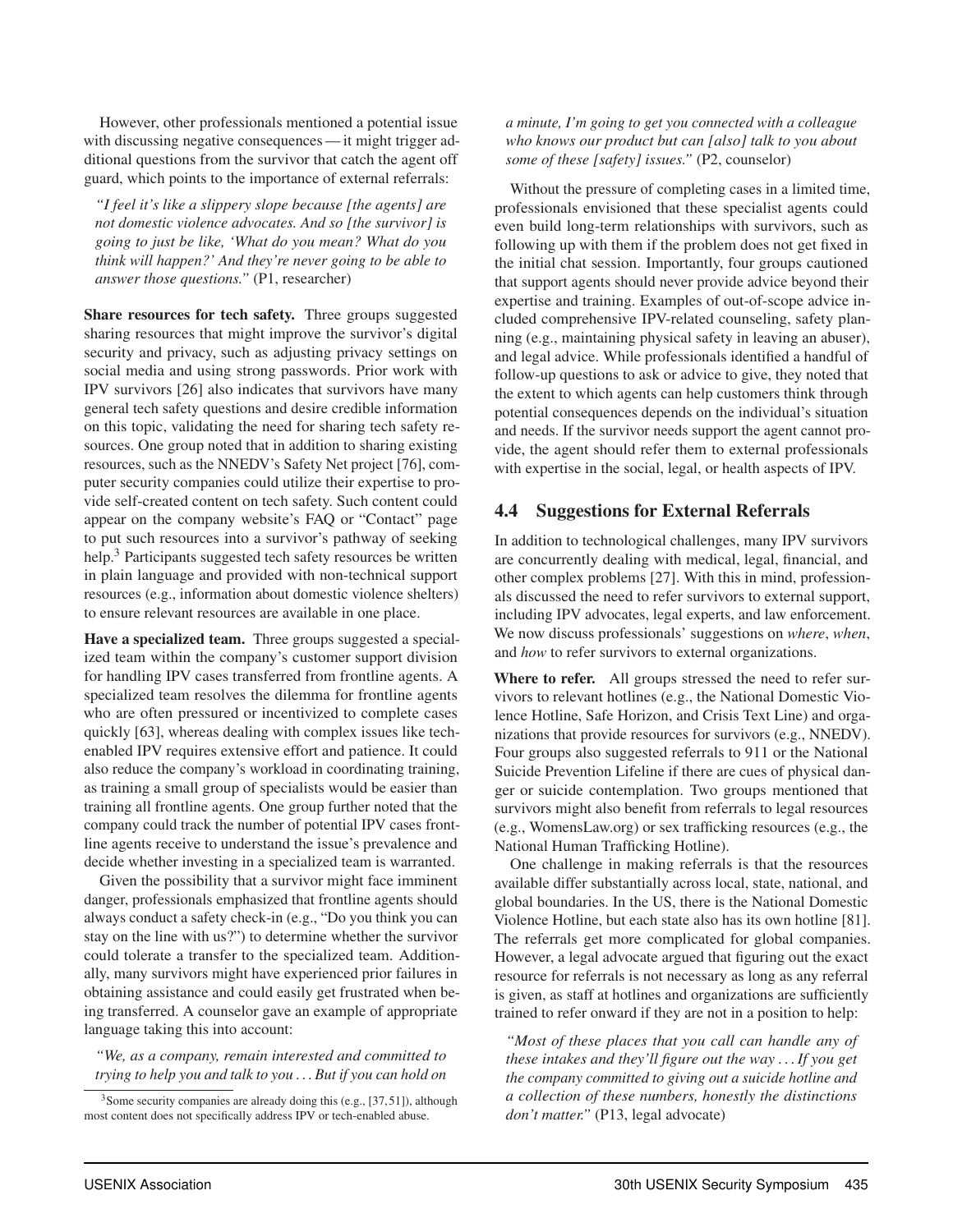However, other professionals mentioned a potential issue with discussing negative consequences — it might trigger additional questions from the survivor that catch the agent off guard, which points to the importance of external referrals:

*"I feel it's like a slippery slope because [the agents] are not domestic violence advocates. And so [the survivor] is going to just be like, 'What do you mean? What do you think will happen?' And they're never going to be able to answer those questions."* (P1, researcher)

Share resources for tech safety. Three groups suggested sharing resources that might improve the survivor's digital security and privacy, such as adjusting privacy settings on social media and using strong passwords. Prior work with IPV survivors [26] also indicates that survivors have many general tech safety questions and desire credible information on this topic, validating the need for sharing tech safety resources. One group noted that in addition to sharing existing resources, such as the NNEDV's Safety Net project [76], computer security companies could utilize their expertise to provide self-created content on tech safety. Such content could appear on the company website's FAQ or "Contact" page to put such resources into a survivor's pathway of seeking help.<sup>3</sup> Participants suggested tech safety resources be written in plain language and provided with non-technical support resources (e.g., information about domestic violence shelters) to ensure relevant resources are available in one place.

Have a specialized team. Three groups suggested a specialized team within the company's customer support division for handling IPV cases transferred from frontline agents. A specialized team resolves the dilemma for frontline agents who are often pressured or incentivized to complete cases quickly [63], whereas dealing with complex issues like techenabled IPV requires extensive effort and patience. It could also reduce the company's workload in coordinating training, as training a small group of specialists would be easier than training all frontline agents. One group further noted that the company could track the number of potential IPV cases frontline agents receive to understand the issue's prevalence and decide whether investing in a specialized team is warranted.

Given the possibility that a survivor might face imminent danger, professionals emphasized that frontline agents should always conduct a safety check-in (e.g., "Do you think you can stay on the line with us?") to determine whether the survivor could tolerate a transfer to the specialized team. Additionally, many survivors might have experienced prior failures in obtaining assistance and could easily get frustrated when being transferred. A counselor gave an example of appropriate language taking this into account:

#### *"We, as a company, remain interested and committed to trying to help you and talk to you . . . But if you can hold on*

<sup>3</sup>Some security companies are already doing this (e.g., [37, 51]), although most content does not specifically address IPV or tech-enabled abuse.

*a minute, I'm going to get you connected with a colleague who knows our product but can [also] talk to you about some of these [safety] issues."* (P2, counselor)

Without the pressure of completing cases in a limited time, professionals envisioned that these specialist agents could even build long-term relationships with survivors, such as following up with them if the problem does not get fixed in the initial chat session. Importantly, four groups cautioned that support agents should never provide advice beyond their expertise and training. Examples of out-of-scope advice included comprehensive IPV-related counseling, safety planning (e.g., maintaining physical safety in leaving an abuser), and legal advice. While professionals identified a handful of follow-up questions to ask or advice to give, they noted that the extent to which agents can help customers think through potential consequences depends on the individual's situation and needs. If the survivor needs support the agent cannot provide, the agent should refer them to external professionals with expertise in the social, legal, or health aspects of IPV.

#### 4.4 Suggestions for External Referrals

In addition to technological challenges, many IPV survivors are concurrently dealing with medical, legal, financial, and other complex problems [27]. With this in mind, professionals discussed the need to refer survivors to external support, including IPV advocates, legal experts, and law enforcement. We now discuss professionals' suggestions on *where*, *when*, and *how* to refer survivors to external organizations.

Where to refer. All groups stressed the need to refer survivors to relevant hotlines (e.g., the National Domestic Violence Hotline, Safe Horizon, and Crisis Text Line) and organizations that provide resources for survivors (e.g., NNEDV). Four groups also suggested referrals to 911 or the National Suicide Prevention Lifeline if there are cues of physical danger or suicide contemplation. Two groups mentioned that survivors might also benefit from referrals to legal resources (e.g., WomensLaw.org) or sex trafficking resources (e.g., the National Human Trafficking Hotline).

One challenge in making referrals is that the resources available differ substantially across local, state, national, and global boundaries. In the US, there is the National Domestic Violence Hotline, but each state also has its own hotline [81]. The referrals get more complicated for global companies. However, a legal advocate argued that figuring out the exact resource for referrals is not necessary as long as any referral is given, as staff at hotlines and organizations are sufficiently trained to refer onward if they are not in a position to help:

*"Most of these places that you call can handle any of these intakes and they'll figure out the way . . . If you get the company committed to giving out a suicide hotline and a collection of these numbers, honestly the distinctions don't matter."* (P13, legal advocate)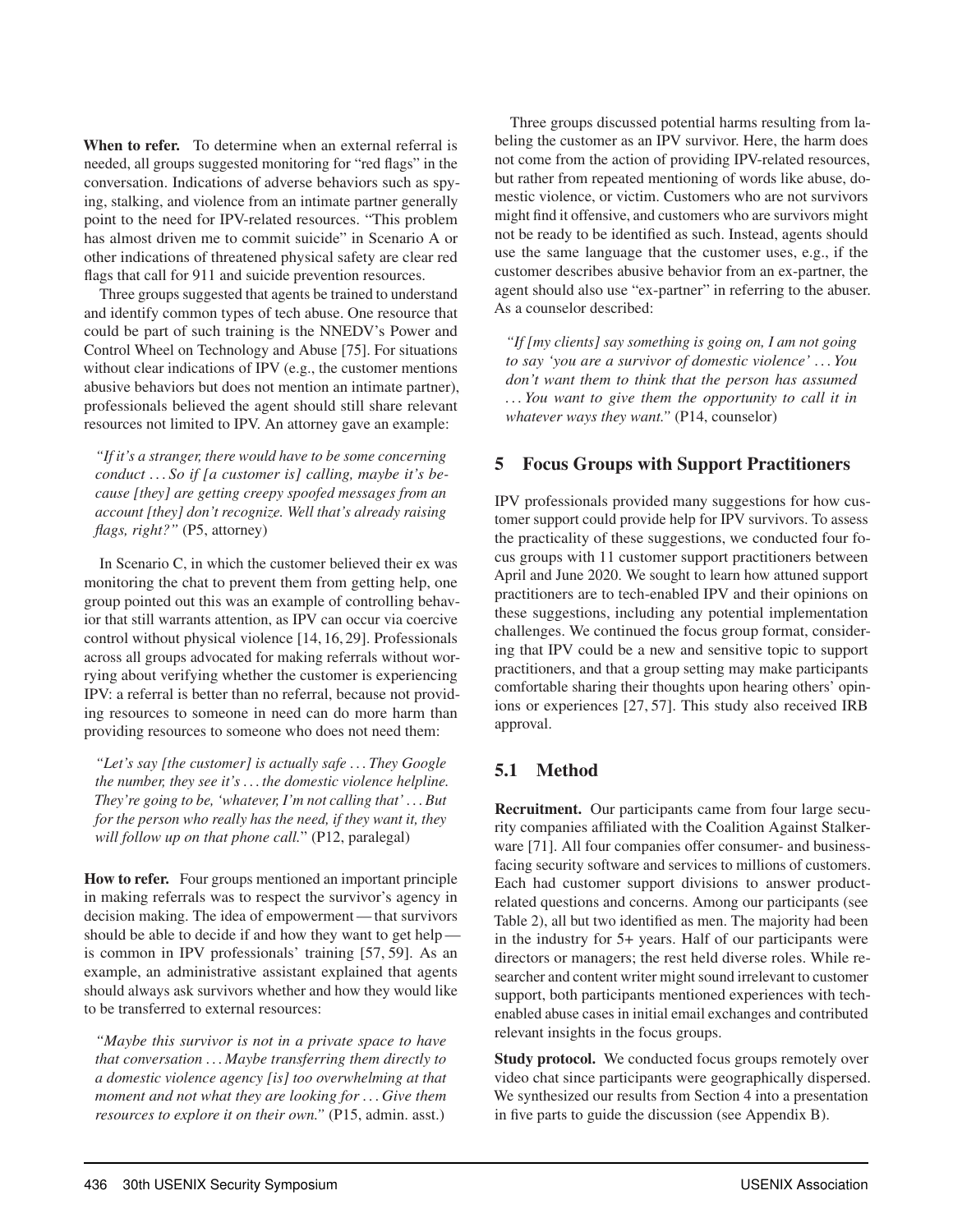When to refer. To determine when an external referral is needed, all groups suggested monitoring for "red flags" in the conversation. Indications of adverse behaviors such as spying, stalking, and violence from an intimate partner generally point to the need for IPV-related resources. "This problem has almost driven me to commit suicide" in Scenario A or other indications of threatened physical safety are clear red flags that call for 911 and suicide prevention resources.

Three groups suggested that agents be trained to understand and identify common types of tech abuse. One resource that could be part of such training is the NNEDV's Power and Control Wheel on Technology and Abuse [75]. For situations without clear indications of IPV (e.g., the customer mentions abusive behaviors but does not mention an intimate partner), professionals believed the agent should still share relevant resources not limited to IPV. An attorney gave an example:

*"If it's a stranger, there would have to be some concerning conduct . . . So if [a customer is] calling, maybe it's because [they] are getting creepy spoofed messages from an account [they] don't recognize. Well that's already raising flags, right?"* (P5, attorney)

In Scenario C, in which the customer believed their ex was monitoring the chat to prevent them from getting help, one group pointed out this was an example of controlling behavior that still warrants attention, as IPV can occur via coercive control without physical violence [14, 16, 29]. Professionals across all groups advocated for making referrals without worrying about verifying whether the customer is experiencing IPV: a referral is better than no referral, because not providing resources to someone in need can do more harm than providing resources to someone who does not need them:

*"Let's say [the customer] is actually safe . . . They Google the number, they see it's . . . the domestic violence helpline. They're going to be, 'whatever, I'm not calling that' . . . But for the person who really has the need, if they want it, they will follow up on that phone call.*" (P12, paralegal)

How to refer. Four groups mentioned an important principle in making referrals was to respect the survivor's agency in decision making. The idea of empowerment — that survivors should be able to decide if and how they want to get help is common in IPV professionals' training [57, 59]. As an example, an administrative assistant explained that agents should always ask survivors whether and how they would like to be transferred to external resources:

*"Maybe this survivor is not in a private space to have that conversation . . . Maybe transferring them directly to a domestic violence agency [is] too overwhelming at that moment and not what they are looking for . . . Give them resources to explore it on their own."* (P15, admin. asst.)

Three groups discussed potential harms resulting from labeling the customer as an IPV survivor. Here, the harm does not come from the action of providing IPV-related resources, but rather from repeated mentioning of words like abuse, domestic violence, or victim. Customers who are not survivors might find it offensive, and customers who are survivors might not be ready to be identified as such. Instead, agents should use the same language that the customer uses, e.g., if the customer describes abusive behavior from an ex-partner, the agent should also use "ex-partner" in referring to the abuser. As a counselor described:

*"If [my clients] say something is going on, I am not going to say 'you are a survivor of domestic violence' . . . You don't want them to think that the person has assumed . . . You want to give them the opportunity to call it in whatever ways they want."* (P14, counselor)

#### 5 Focus Groups with Support Practitioners

IPV professionals provided many suggestions for how customer support could provide help for IPV survivors. To assess the practicality of these suggestions, we conducted four focus groups with 11 customer support practitioners between April and June 2020. We sought to learn how attuned support practitioners are to tech-enabled IPV and their opinions on these suggestions, including any potential implementation challenges. We continued the focus group format, considering that IPV could be a new and sensitive topic to support practitioners, and that a group setting may make participants comfortable sharing their thoughts upon hearing others' opinions or experiences [27, 57]. This study also received IRB approval.

#### 5.1 Method

Recruitment. Our participants came from four large security companies affiliated with the Coalition Against Stalkerware [71]. All four companies offer consumer- and businessfacing security software and services to millions of customers. Each had customer support divisions to answer productrelated questions and concerns. Among our participants (see Table 2), all but two identified as men. The majority had been in the industry for 5+ years. Half of our participants were directors or managers; the rest held diverse roles. While researcher and content writer might sound irrelevant to customer support, both participants mentioned experiences with techenabled abuse cases in initial email exchanges and contributed relevant insights in the focus groups.

Study protocol. We conducted focus groups remotely over video chat since participants were geographically dispersed. We synthesized our results from Section 4 into a presentation in five parts to guide the discussion (see Appendix B).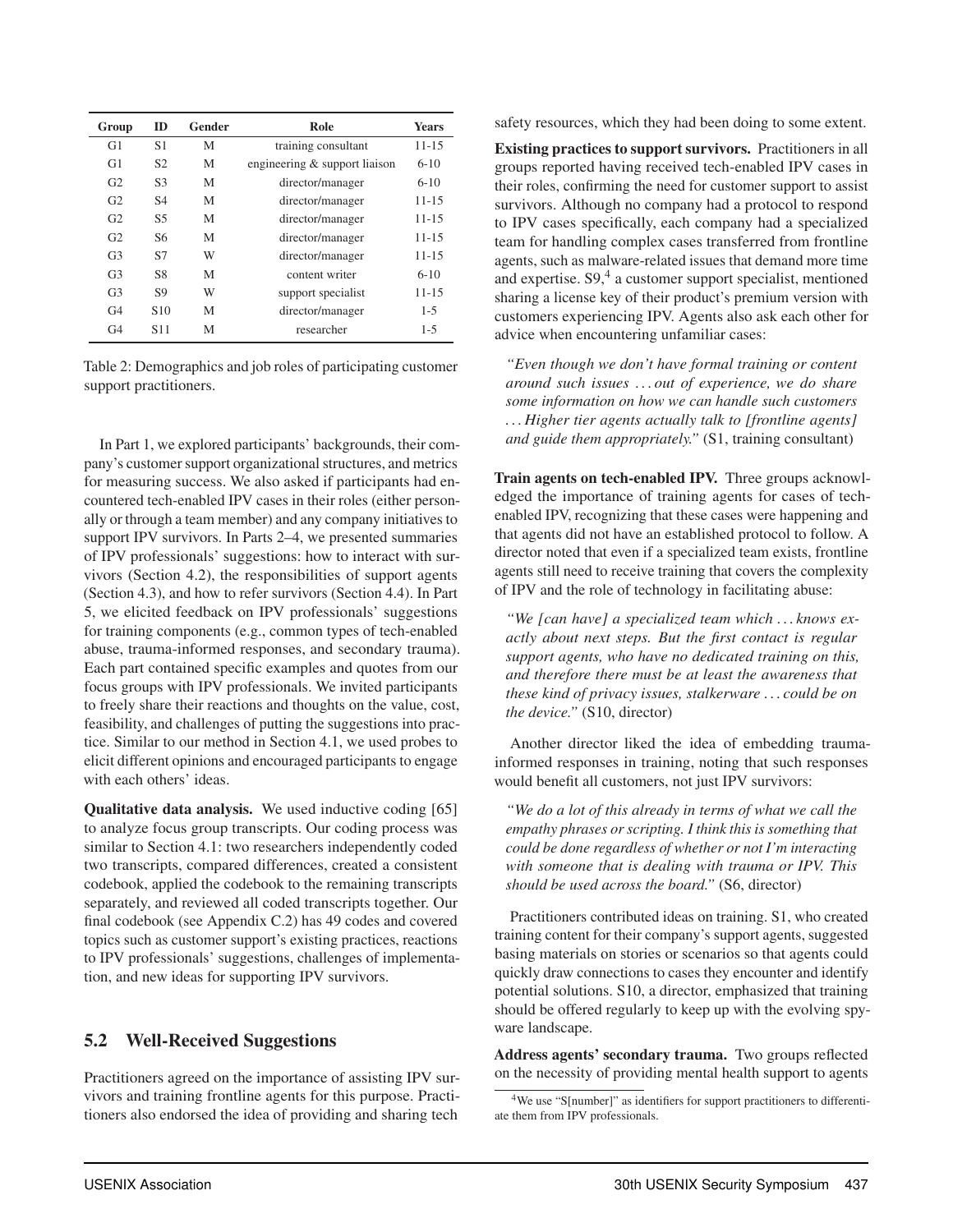| Group          | <b>ID</b>       | Gender | Role                          | <b>Years</b> |
|----------------|-----------------|--------|-------------------------------|--------------|
| G <sub>1</sub> | S1              | M      | training consultant           | $11 - 15$    |
| G1             | S <sub>2</sub>  | M      | engineering & support liaison | $6 - 10$     |
| G <sub>2</sub> | S <sub>3</sub>  | M      | director/manager              | $6 - 10$     |
| G <sub>2</sub> | <b>S4</b>       | M      | director/manager              | $11 - 15$    |
| G <sub>2</sub> | S <sub>5</sub>  | M      | director/manager              | $11 - 15$    |
| G <sub>2</sub> | S6              | M      | director/manager              | $11 - 15$    |
| G <sub>3</sub> | S7              | W      | director/manager              | $11 - 15$    |
| G <sub>3</sub> | S8              | M      | content writer                | $6 - 10$     |
| G <sub>3</sub> | S9              | W      | support specialist            | $11 - 15$    |
| G <sub>4</sub> | S <sub>10</sub> | M      | director/manager              | $1 - 5$      |
| G <sub>4</sub> | S <sub>11</sub> | M      | researcher                    | $1 - 5$      |

Table 2: Demographics and job roles of participating customer support practitioners.

In Part 1, we explored participants' backgrounds, their company's customer support organizational structures, and metrics for measuring success. We also asked if participants had encountered tech-enabled IPV cases in their roles (either personally or through a team member) and any company initiatives to support IPV survivors. In Parts 2–4, we presented summaries of IPV professionals' suggestions: how to interact with survivors (Section 4.2), the responsibilities of support agents (Section 4.3), and how to refer survivors (Section 4.4). In Part 5, we elicited feedback on IPV professionals' suggestions for training components (e.g., common types of tech-enabled abuse, trauma-informed responses, and secondary trauma). Each part contained specific examples and quotes from our focus groups with IPV professionals. We invited participants to freely share their reactions and thoughts on the value, cost, feasibility, and challenges of putting the suggestions into practice. Similar to our method in Section 4.1, we used probes to elicit different opinions and encouraged participants to engage with each others' ideas.

Qualitative data analysis. We used inductive coding [65] to analyze focus group transcripts. Our coding process was similar to Section 4.1: two researchers independently coded two transcripts, compared differences, created a consistent codebook, applied the codebook to the remaining transcripts separately, and reviewed all coded transcripts together. Our final codebook (see Appendix C.2) has 49 codes and covered topics such as customer support's existing practices, reactions to IPV professionals' suggestions, challenges of implementation, and new ideas for supporting IPV survivors.

#### 5.2 Well-Received Suggestions

Practitioners agreed on the importance of assisting IPV survivors and training frontline agents for this purpose. Practitioners also endorsed the idea of providing and sharing tech

safety resources, which they had been doing to some extent.

Existing practices to support survivors. Practitioners in all groups reported having received tech-enabled IPV cases in their roles, confirming the need for customer support to assist survivors. Although no company had a protocol to respond to IPV cases specifically, each company had a specialized team for handling complex cases transferred from frontline agents, such as malware-related issues that demand more time and expertise. S9,<sup>4</sup> a customer support specialist, mentioned sharing a license key of their product's premium version with customers experiencing IPV. Agents also ask each other for advice when encountering unfamiliar cases:

*"Even though we don't have formal training or content around such issues . . . out of experience, we do share some information on how we can handle such customers . . . Higher tier agents actually talk to [frontline agents] and guide them appropriately."* (S1, training consultant)

Train agents on tech-enabled IPV. Three groups acknowledged the importance of training agents for cases of techenabled IPV, recognizing that these cases were happening and that agents did not have an established protocol to follow. A director noted that even if a specialized team exists, frontline agents still need to receive training that covers the complexity of IPV and the role of technology in facilitating abuse:

*"We [can have] a specialized team which . . . knows exactly about next steps. But the first contact is regular support agents, who have no dedicated training on this, and therefore there must be at least the awareness that these kind of privacy issues, stalkerware . . . could be on the device."* (S10, director)

Another director liked the idea of embedding traumainformed responses in training, noting that such responses would benefit all customers, not just IPV survivors:

*"We do a lot of this already in terms of what we call the empathy phrases or scripting. I think this is something that could be done regardless of whether or not I'm interacting with someone that is dealing with trauma or IPV. This should be used across the board."* (S6, director)

Practitioners contributed ideas on training. S1, who created training content for their company's support agents, suggested basing materials on stories or scenarios so that agents could quickly draw connections to cases they encounter and identify potential solutions. S10, a director, emphasized that training should be offered regularly to keep up with the evolving spyware landscape.

Address agents' secondary trauma. Two groups reflected on the necessity of providing mental health support to agents

<sup>&</sup>lt;sup>4</sup>We use "S[number]" as identifiers for support practitioners to differentiate them from IPV professionals.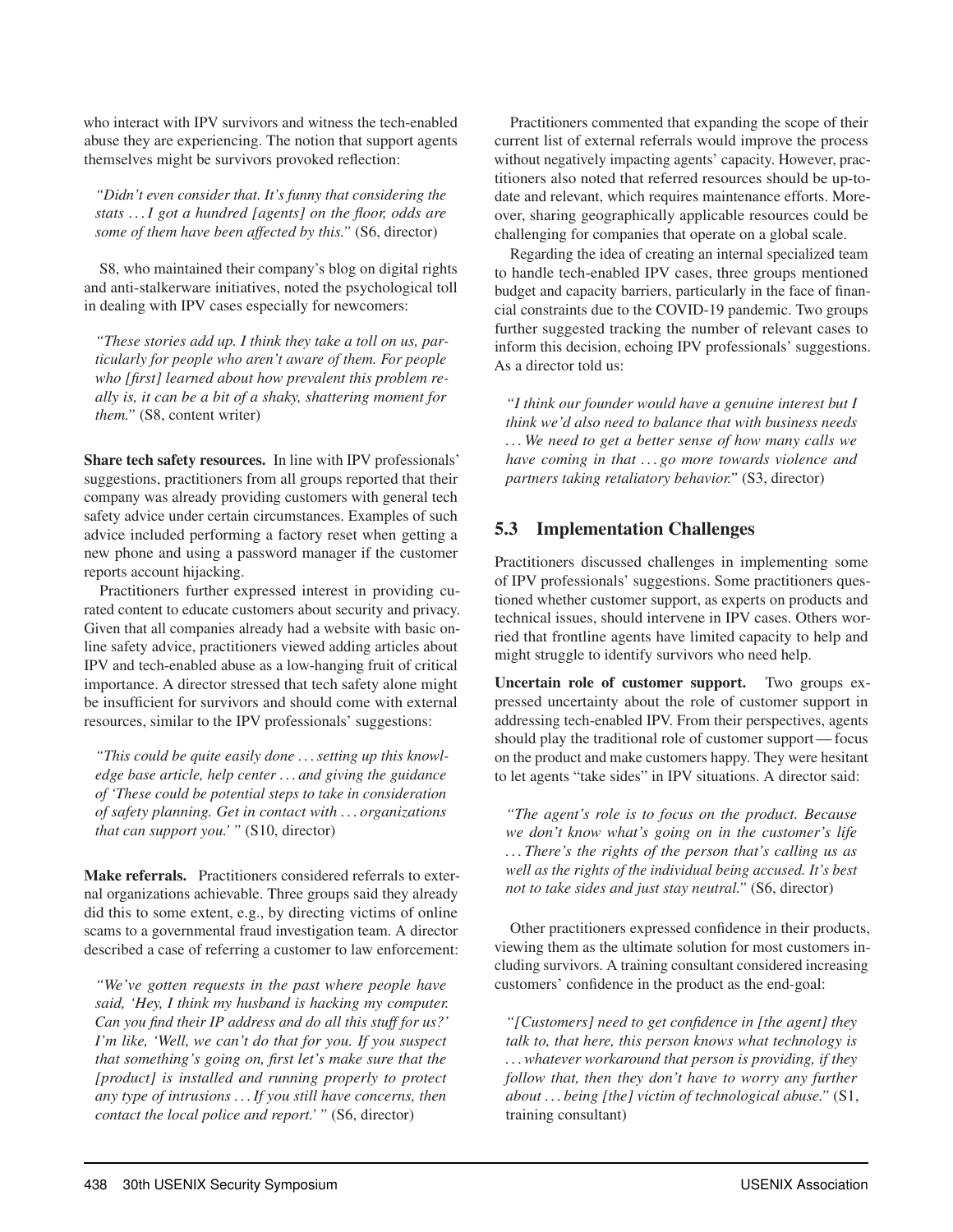who interact with IPV survivors and witness the tech-enabled abuse they are experiencing. The notion that support agents themselves might be survivors provoked reflection:

*"Didn't even consider that. It's funny that considering the stats . . . I got a hundred [agents] on the floor, odds are some of them have been affected by this."* (S6, director)

S8, who maintained their company's blog on digital rights and anti-stalkerware initiatives, noted the psychological toll in dealing with IPV cases especially for newcomers:

*"These stories add up. I think they take a toll on us, particularly for people who aren't aware of them. For people who [first] learned about how prevalent this problem really is, it can be a bit of a shaky, shattering moment for them."* (S8, content writer)

Share tech safety resources. In line with IPV professionals' suggestions, practitioners from all groups reported that their company was already providing customers with general tech safety advice under certain circumstances. Examples of such advice included performing a factory reset when getting a new phone and using a password manager if the customer reports account hijacking.

Practitioners further expressed interest in providing curated content to educate customers about security and privacy. Given that all companies already had a website with basic online safety advice, practitioners viewed adding articles about IPV and tech-enabled abuse as a low-hanging fruit of critical importance. A director stressed that tech safety alone might be insufficient for survivors and should come with external resources, similar to the IPV professionals' suggestions:

*"This could be quite easily done . . . setting up this knowledge base article, help center . . . and giving the guidance of 'These could be potential steps to take in consideration of safety planning. Get in contact with . . . organizations that can support you.' "* (S10, director)

Make referrals. Practitioners considered referrals to external organizations achievable. Three groups said they already did this to some extent, e.g., by directing victims of online scams to a governmental fraud investigation team. A director described a case of referring a customer to law enforcement:

*"We've gotten requests in the past where people have said, 'Hey, I think my husband is hacking my computer. Can you find their IP address and do all this stuff for us?' I'm like, 'Well, we can't do that for you. If you suspect that something's going on, first let's make sure that the [product] is installed and running properly to protect any type of intrusions . . . If you still have concerns, then contact the local police and report.' "* (S6, director)

Practitioners commented that expanding the scope of their current list of external referrals would improve the process without negatively impacting agents' capacity. However, practitioners also noted that referred resources should be up-todate and relevant, which requires maintenance efforts. Moreover, sharing geographically applicable resources could be challenging for companies that operate on a global scale.

Regarding the idea of creating an internal specialized team to handle tech-enabled IPV cases, three groups mentioned budget and capacity barriers, particularly in the face of financial constraints due to the COVID-19 pandemic. Two groups further suggested tracking the number of relevant cases to inform this decision, echoing IPV professionals' suggestions. As a director told us:

*"I think our founder would have a genuine interest but I think we'd also need to balance that with business needs . . . We need to get a better sense of how many calls we have coming in that . . . go more towards violence and partners taking retaliatory behavior."* (S3, director)

#### 5.3 Implementation Challenges

Practitioners discussed challenges in implementing some of IPV professionals' suggestions. Some practitioners questioned whether customer support, as experts on products and technical issues, should intervene in IPV cases. Others worried that frontline agents have limited capacity to help and might struggle to identify survivors who need help.

Uncertain role of customer support. Two groups expressed uncertainty about the role of customer support in addressing tech-enabled IPV. From their perspectives, agents should play the traditional role of customer support— focus on the product and make customers happy. They were hesitant to let agents "take sides" in IPV situations. A director said:

*"The agent's role is to focus on the product. Because we don't know what's going on in the customer's life . . . There's the rights of the person that's calling us as well as the rights of the individual being accused. It's best not to take sides and just stay neutral."* (S6, director)

Other practitioners expressed confidence in their products, viewing them as the ultimate solution for most customers including survivors. A training consultant considered increasing customers' confidence in the product as the end-goal:

*"[Customers] need to get confidence in [the agent] they talk to, that here, this person knows what technology is . . . whatever workaround that person is providing, if they follow that, then they don't have to worry any further about . . . being [the] victim of technological abuse."* (S1, training consultant)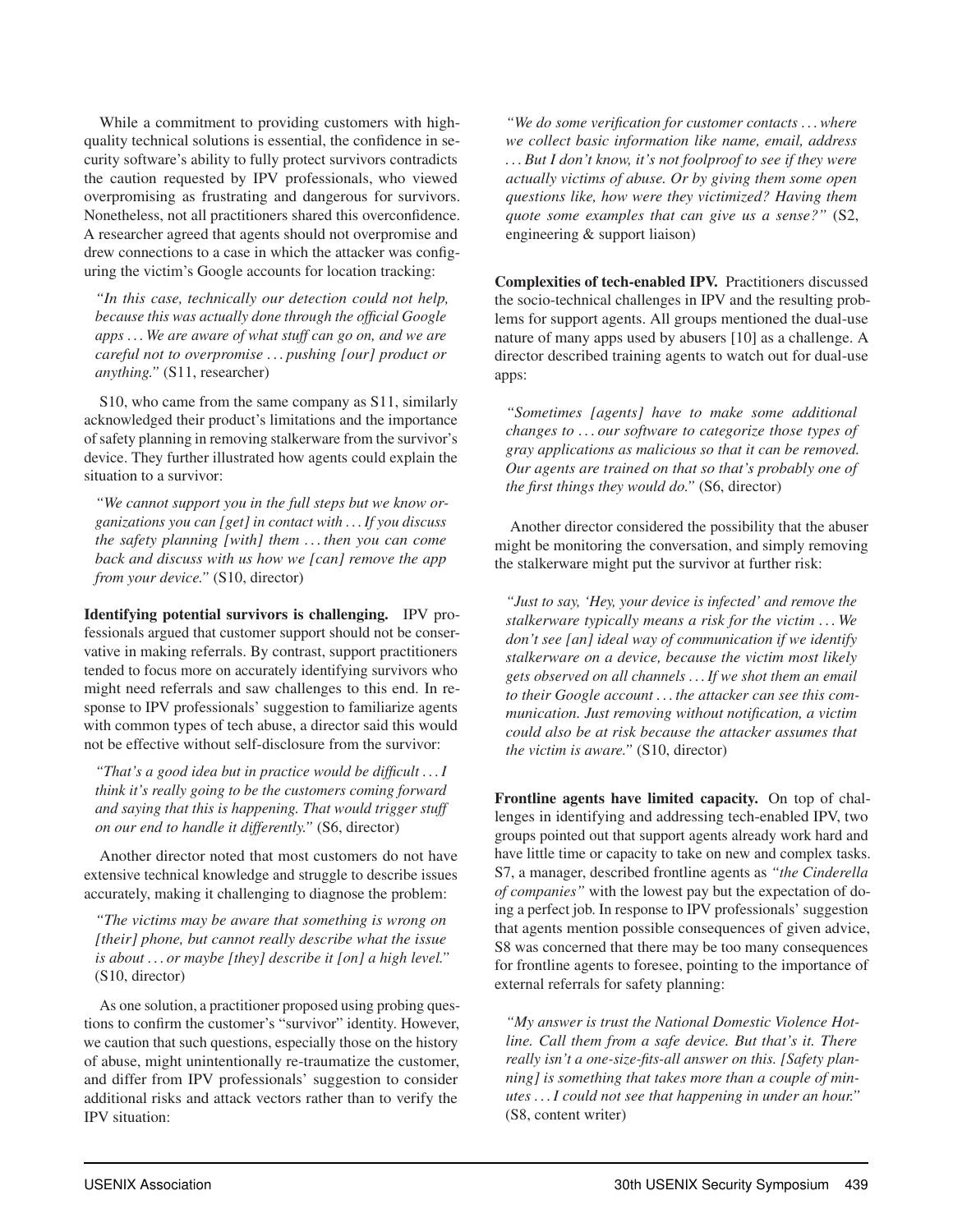While a commitment to providing customers with highquality technical solutions is essential, the confidence in security software's ability to fully protect survivors contradicts the caution requested by IPV professionals, who viewed overpromising as frustrating and dangerous for survivors. Nonetheless, not all practitioners shared this overconfidence. A researcher agreed that agents should not overpromise and drew connections to a case in which the attacker was configuring the victim's Google accounts for location tracking:

*"In this case, technically our detection could not help, because this was actually done through the official Google apps . . . We are aware of what stuff can go on, and we are careful not to overpromise . . . pushing [our] product or anything."* (S11, researcher)

S10, who came from the same company as S11, similarly acknowledged their product's limitations and the importance of safety planning in removing stalkerware from the survivor's device. They further illustrated how agents could explain the situation to a survivor:

*"We cannot support you in the full steps but we know organizations you can [get] in contact with . . . If you discuss the safety planning [with] them . . . then you can come back and discuss with us how we [can] remove the app from your device."* (S10, director)

Identifying potential survivors is challenging. IPV professionals argued that customer support should not be conservative in making referrals. By contrast, support practitioners tended to focus more on accurately identifying survivors who might need referrals and saw challenges to this end. In response to IPV professionals' suggestion to familiarize agents with common types of tech abuse, a director said this would not be effective without self-disclosure from the survivor:

*"That's a good idea but in practice would be difficult ...I think it's really going to be the customers coming forward and saying that this is happening. That would trigger stuff on our end to handle it differently."* (S6, director)

Another director noted that most customers do not have extensive technical knowledge and struggle to describe issues accurately, making it challenging to diagnose the problem:

*"The victims may be aware that something is wrong on [their] phone, but cannot really describe what the issue is about . . . or maybe [they] describe it [on] a high level."* (S10, director)

As one solution, a practitioner proposed using probing questions to confirm the customer's "survivor" identity. However, we caution that such questions, especially those on the history of abuse, might unintentionally re-traumatize the customer, and differ from IPV professionals' suggestion to consider additional risks and attack vectors rather than to verify the IPV situation:

*"We do some verification for customer contacts . . . where we collect basic information like name, email, address . . . But I don't know, it's not foolproof to see if they were actually victims of abuse. Or by giving them some open questions like, how were they victimized? Having them quote some examples that can give us a sense?"* (S2, engineering & support liaison)

Complexities of tech-enabled IPV. Practitioners discussed the socio-technical challenges in IPV and the resulting problems for support agents. All groups mentioned the dual-use nature of many apps used by abusers [10] as a challenge. A director described training agents to watch out for dual-use apps:

*"Sometimes [agents] have to make some additional changes to . . . our software to categorize those types of gray applications as malicious so that it can be removed. Our agents are trained on that so that's probably one of the first things they would do."* (S6, director)

Another director considered the possibility that the abuser might be monitoring the conversation, and simply removing the stalkerware might put the survivor at further risk:

*"Just to say, 'Hey, your device is infected' and remove the stalkerware typically means a risk for the victim . . . We don't see [an] ideal way of communication if we identify stalkerware on a device, because the victim most likely gets observed on all channels . . . If we shot them an email to their Google account . . . the attacker can see this communication. Just removing without notification, a victim could also be at risk because the attacker assumes that the victim is aware."* (S10, director)

Frontline agents have limited capacity. On top of challenges in identifying and addressing tech-enabled IPV, two groups pointed out that support agents already work hard and have little time or capacity to take on new and complex tasks. S7, a manager, described frontline agents as *"the Cinderella of companies"* with the lowest pay but the expectation of doing a perfect job. In response to IPV professionals' suggestion that agents mention possible consequences of given advice, S8 was concerned that there may be too many consequences for frontline agents to foresee, pointing to the importance of external referrals for safety planning:

*"My answer is trust the National Domestic Violence Hotline. Call them from a safe device. But that's it. There really isn't a one-size-fits-all answer on this. [Safety planning] is something that takes more than a couple of minutes ...I could not see that happening in under an hour."* (S8, content writer)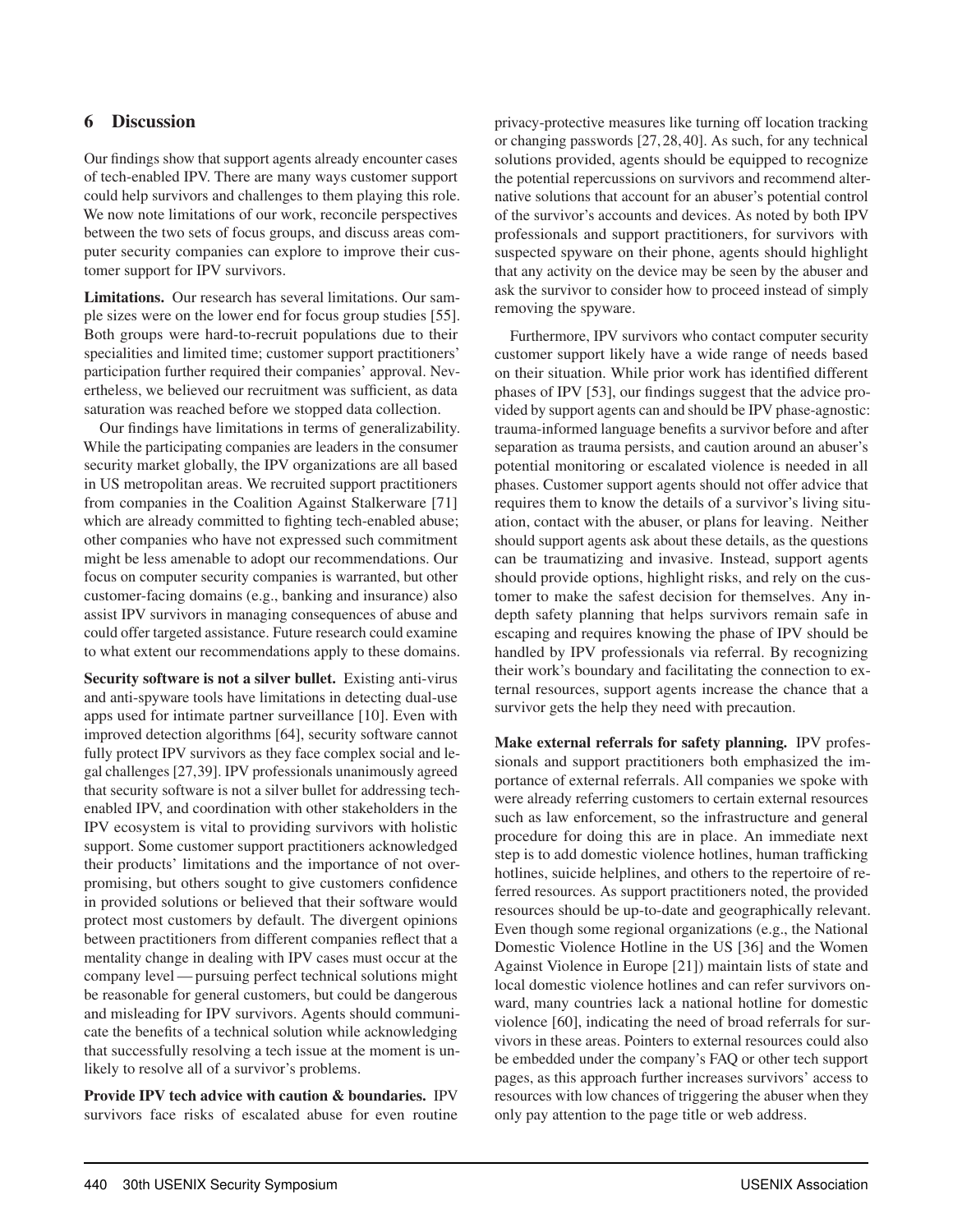#### 6 Discussion

Our findings show that support agents already encounter cases of tech-enabled IPV. There are many ways customer support could help survivors and challenges to them playing this role. We now note limitations of our work, reconcile perspectives between the two sets of focus groups, and discuss areas computer security companies can explore to improve their customer support for IPV survivors.

Limitations. Our research has several limitations. Our sample sizes were on the lower end for focus group studies [55]. Both groups were hard-to-recruit populations due to their specialities and limited time; customer support practitioners' participation further required their companies' approval. Nevertheless, we believed our recruitment was sufficient, as data saturation was reached before we stopped data collection.

Our findings have limitations in terms of generalizability. While the participating companies are leaders in the consumer security market globally, the IPV organizations are all based in US metropolitan areas. We recruited support practitioners from companies in the Coalition Against Stalkerware [71] which are already committed to fighting tech-enabled abuse; other companies who have not expressed such commitment might be less amenable to adopt our recommendations. Our focus on computer security companies is warranted, but other customer-facing domains (e.g., banking and insurance) also assist IPV survivors in managing consequences of abuse and could offer targeted assistance. Future research could examine to what extent our recommendations apply to these domains.

Security software is not a silver bullet. Existing anti-virus and anti-spyware tools have limitations in detecting dual-use apps used for intimate partner surveillance [10]. Even with improved detection algorithms [64], security software cannot fully protect IPV survivors as they face complex social and legal challenges [27,39]. IPV professionals unanimously agreed that security software is not a silver bullet for addressing techenabled IPV, and coordination with other stakeholders in the IPV ecosystem is vital to providing survivors with holistic support. Some customer support practitioners acknowledged their products' limitations and the importance of not overpromising, but others sought to give customers confidence in provided solutions or believed that their software would protect most customers by default. The divergent opinions between practitioners from different companies reflect that a mentality change in dealing with IPV cases must occur at the company level— pursuing perfect technical solutions might be reasonable for general customers, but could be dangerous and misleading for IPV survivors. Agents should communicate the benefits of a technical solution while acknowledging that successfully resolving a tech issue at the moment is unlikely to resolve all of a survivor's problems.

Provide IPV tech advice with caution & boundaries. IPV survivors face risks of escalated abuse for even routine privacy-protective measures like turning off location tracking or changing passwords [27, 28, 40]. As such, for any technical solutions provided, agents should be equipped to recognize the potential repercussions on survivors and recommend alternative solutions that account for an abuser's potential control of the survivor's accounts and devices. As noted by both IPV professionals and support practitioners, for survivors with suspected spyware on their phone, agents should highlight that any activity on the device may be seen by the abuser and ask the survivor to consider how to proceed instead of simply removing the spyware.

Furthermore, IPV survivors who contact computer security customer support likely have a wide range of needs based on their situation. While prior work has identified different phases of IPV [53], our findings suggest that the advice provided by support agents can and should be IPV phase-agnostic: trauma-informed language benefits a survivor before and after separation as trauma persists, and caution around an abuser's potential monitoring or escalated violence is needed in all phases. Customer support agents should not offer advice that requires them to know the details of a survivor's living situation, contact with the abuser, or plans for leaving. Neither should support agents ask about these details, as the questions can be traumatizing and invasive. Instead, support agents should provide options, highlight risks, and rely on the customer to make the safest decision for themselves. Any indepth safety planning that helps survivors remain safe in escaping and requires knowing the phase of IPV should be handled by IPV professionals via referral. By recognizing their work's boundary and facilitating the connection to external resources, support agents increase the chance that a survivor gets the help they need with precaution.

Make external referrals for safety planning. IPV professionals and support practitioners both emphasized the importance of external referrals. All companies we spoke with were already referring customers to certain external resources such as law enforcement, so the infrastructure and general procedure for doing this are in place. An immediate next step is to add domestic violence hotlines, human trafficking hotlines, suicide helplines, and others to the repertoire of referred resources. As support practitioners noted, the provided resources should be up-to-date and geographically relevant. Even though some regional organizations (e.g., the National Domestic Violence Hotline in the US [36] and the Women Against Violence in Europe [21]) maintain lists of state and local domestic violence hotlines and can refer survivors onward, many countries lack a national hotline for domestic violence [60], indicating the need of broad referrals for survivors in these areas. Pointers to external resources could also be embedded under the company's FAQ or other tech support pages, as this approach further increases survivors' access to resources with low chances of triggering the abuser when they only pay attention to the page title or web address.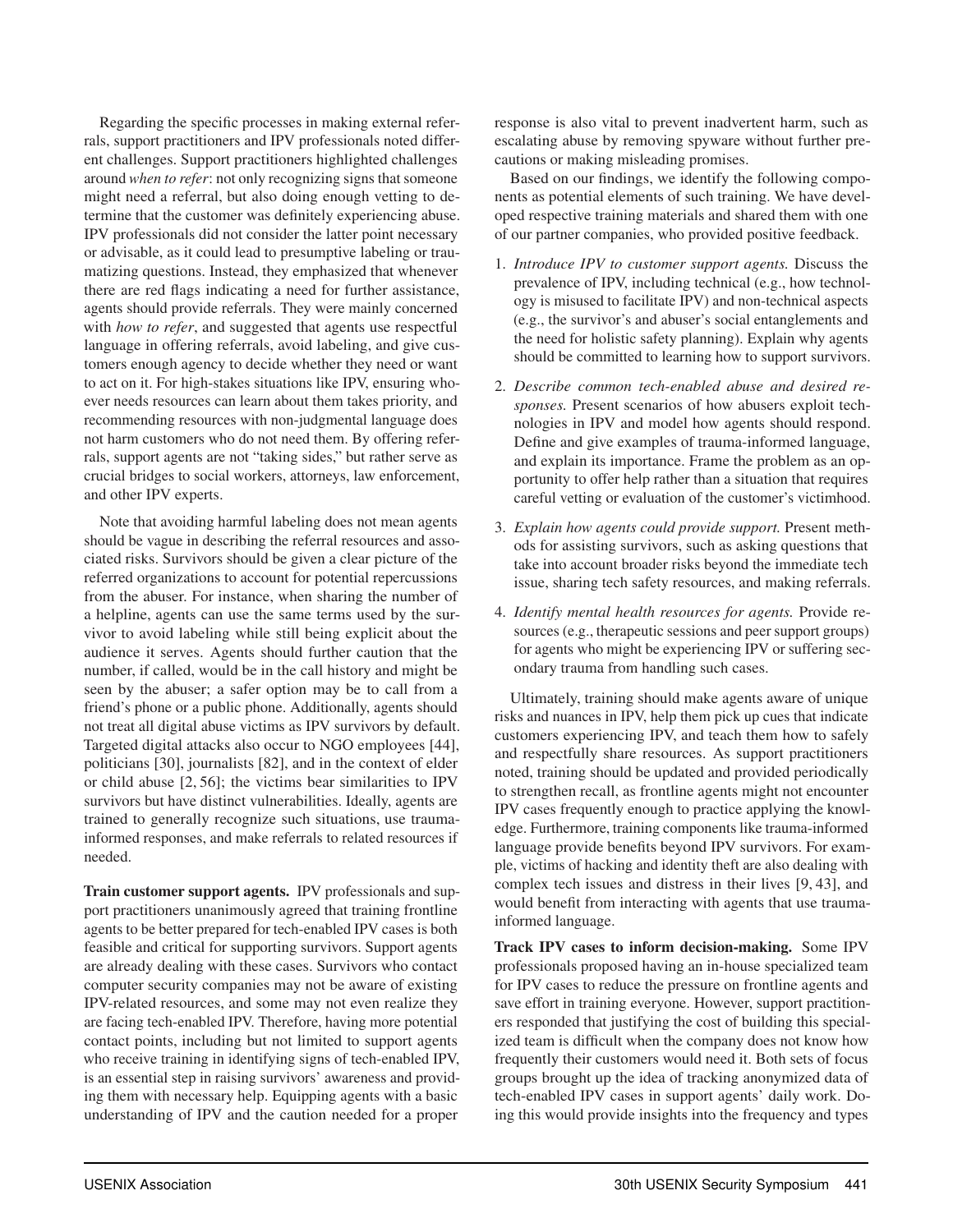Regarding the specific processes in making external referrals, support practitioners and IPV professionals noted different challenges. Support practitioners highlighted challenges around *when to refer*: not only recognizing signs that someone might need a referral, but also doing enough vetting to determine that the customer was definitely experiencing abuse. IPV professionals did not consider the latter point necessary or advisable, as it could lead to presumptive labeling or traumatizing questions. Instead, they emphasized that whenever there are red flags indicating a need for further assistance, agents should provide referrals. They were mainly concerned with *how to refer*, and suggested that agents use respectful language in offering referrals, avoid labeling, and give customers enough agency to decide whether they need or want to act on it. For high-stakes situations like IPV, ensuring whoever needs resources can learn about them takes priority, and recommending resources with non-judgmental language does not harm customers who do not need them. By offering referrals, support agents are not "taking sides," but rather serve as crucial bridges to social workers, attorneys, law enforcement, and other IPV experts.

Note that avoiding harmful labeling does not mean agents should be vague in describing the referral resources and associated risks. Survivors should be given a clear picture of the referred organizations to account for potential repercussions from the abuser. For instance, when sharing the number of a helpline, agents can use the same terms used by the survivor to avoid labeling while still being explicit about the audience it serves. Agents should further caution that the number, if called, would be in the call history and might be seen by the abuser; a safer option may be to call from a friend's phone or a public phone. Additionally, agents should not treat all digital abuse victims as IPV survivors by default. Targeted digital attacks also occur to NGO employees [44], politicians [30], journalists [82], and in the context of elder or child abuse [2, 56]; the victims bear similarities to IPV survivors but have distinct vulnerabilities. Ideally, agents are trained to generally recognize such situations, use traumainformed responses, and make referrals to related resources if needed.

Train customer support agents. IPV professionals and support practitioners unanimously agreed that training frontline agents to be better prepared for tech-enabled IPV cases is both feasible and critical for supporting survivors. Support agents are already dealing with these cases. Survivors who contact computer security companies may not be aware of existing IPV-related resources, and some may not even realize they are facing tech-enabled IPV. Therefore, having more potential contact points, including but not limited to support agents who receive training in identifying signs of tech-enabled IPV, is an essential step in raising survivors' awareness and providing them with necessary help. Equipping agents with a basic understanding of IPV and the caution needed for a proper

response is also vital to prevent inadvertent harm, such as escalating abuse by removing spyware without further precautions or making misleading promises.

Based on our findings, we identify the following components as potential elements of such training. We have developed respective training materials and shared them with one of our partner companies, who provided positive feedback.

- 1. *Introduce IPV to customer support agents.* Discuss the prevalence of IPV, including technical (e.g., how technology is misused to facilitate IPV) and non-technical aspects (e.g., the survivor's and abuser's social entanglements and the need for holistic safety planning). Explain why agents should be committed to learning how to support survivors.
- 2. *Describe common tech-enabled abuse and desired responses.* Present scenarios of how abusers exploit technologies in IPV and model how agents should respond. Define and give examples of trauma-informed language, and explain its importance. Frame the problem as an opportunity to offer help rather than a situation that requires careful vetting or evaluation of the customer's victimhood.
- 3. *Explain how agents could provide support.* Present methods for assisting survivors, such as asking questions that take into account broader risks beyond the immediate tech issue, sharing tech safety resources, and making referrals.
- 4. *Identify mental health resources for agents.* Provide resources (e.g., therapeutic sessions and peer support groups) for agents who might be experiencing IPV or suffering secondary trauma from handling such cases.

Ultimately, training should make agents aware of unique risks and nuances in IPV, help them pick up cues that indicate customers experiencing IPV, and teach them how to safely and respectfully share resources. As support practitioners noted, training should be updated and provided periodically to strengthen recall, as frontline agents might not encounter IPV cases frequently enough to practice applying the knowledge. Furthermore, training components like trauma-informed language provide benefits beyond IPV survivors. For example, victims of hacking and identity theft are also dealing with complex tech issues and distress in their lives [9, 43], and would benefit from interacting with agents that use traumainformed language.

Track IPV cases to inform decision-making. Some IPV professionals proposed having an in-house specialized team for IPV cases to reduce the pressure on frontline agents and save effort in training everyone. However, support practitioners responded that justifying the cost of building this specialized team is difficult when the company does not know how frequently their customers would need it. Both sets of focus groups brought up the idea of tracking anonymized data of tech-enabled IPV cases in support agents' daily work. Doing this would provide insights into the frequency and types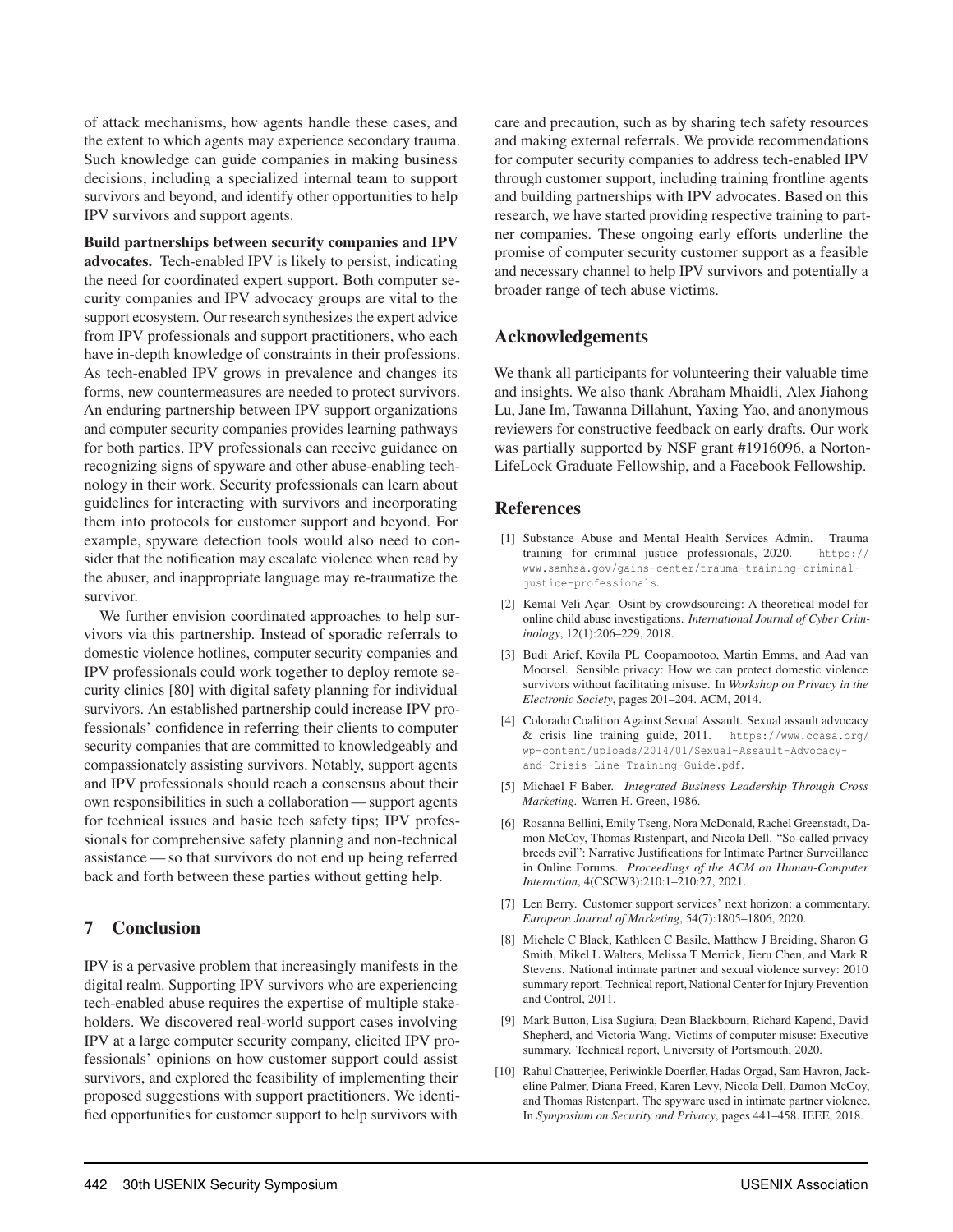of attack mechanisms, how agents handle these cases, and the extent to which agents may experience secondary trauma. Such knowledge can guide companies in making business decisions, including a specialized internal team to support survivors and beyond, and identify other opportunities to help IPV survivors and support agents.

Build partnerships between security companies and IPV advocates. Tech-enabled IPV is likely to persist, indicating the need for coordinated expert support. Both computer security companies and IPV advocacy groups are vital to the support ecosystem. Our research synthesizes the expert advice from IPV professionals and support practitioners, who each have in-depth knowledge of constraints in their professions. As tech-enabled IPV grows in prevalence and changes its forms, new countermeasures are needed to protect survivors. An enduring partnership between IPV support organizations and computer security companies provides learning pathways for both parties. IPV professionals can receive guidance on recognizing signs of spyware and other abuse-enabling technology in their work. Security professionals can learn about guidelines for interacting with survivors and incorporating them into protocols for customer support and beyond. For example, spyware detection tools would also need to consider that the notification may escalate violence when read by the abuser, and inappropriate language may re-traumatize the survivor.

We further envision coordinated approaches to help survivors via this partnership. Instead of sporadic referrals to domestic violence hotlines, computer security companies and IPV professionals could work together to deploy remote security clinics [80] with digital safety planning for individual survivors. An established partnership could increase IPV professionals' confidence in referring their clients to computer security companies that are committed to knowledgeably and compassionately assisting survivors. Notably, support agents and IPV professionals should reach a consensus about their own responsibilities in such a collaboration — support agents for technical issues and basic tech safety tips; IPV professionals for comprehensive safety planning and non-technical assistance— so that survivors do not end up being referred back and forth between these parties without getting help.

#### 7 Conclusion

IPV is a pervasive problem that increasingly manifests in the digital realm. Supporting IPV survivors who are experiencing tech-enabled abuse requires the expertise of multiple stakeholders. We discovered real-world support cases involving IPV at a large computer security company, elicited IPV professionals' opinions on how customer support could assist survivors, and explored the feasibility of implementing their proposed suggestions with support practitioners. We identified opportunities for customer support to help survivors with

care and precaution, such as by sharing tech safety resources and making external referrals. We provide recommendations for computer security companies to address tech-enabled IPV through customer support, including training frontline agents and building partnerships with IPV advocates. Based on this research, we have started providing respective training to partner companies. These ongoing early efforts underline the promise of computer security customer support as a feasible and necessary channel to help IPV survivors and potentially a broader range of tech abuse victims.

#### Acknowledgements

We thank all participants for volunteering their valuable time and insights. We also thank Abraham Mhaidli, Alex Jiahong Lu, Jane Im, Tawanna Dillahunt, Yaxing Yao, and anonymous reviewers for constructive feedback on early drafts. Our work was partially supported by NSF grant #1916096, a Norton-LifeLock Graduate Fellowship, and a Facebook Fellowship.

#### References

- [1] Substance Abuse and Mental Health Services Admin. Trauma training for criminal justice professionals, 2020. https:// www.samhsa.gov/gains-center/trauma-training-criminaljustice-professionals.
- [2] Kemal Veli Açar. Osint by crowdsourcing: A theoretical model for online child abuse investigations. *International Journal of Cyber Criminology*, 12(1):206–229, 2018.
- [3] Budi Arief, Kovila PL Coopamootoo, Martin Emms, and Aad van Moorsel. Sensible privacy: How we can protect domestic violence survivors without facilitating misuse. In *Workshop on Privacy in the Electronic Society*, pages 201–204. ACM, 2014.
- [4] Colorado Coalition Against Sexual Assault. Sexual assault advocacy & crisis line training guide, 2011. https://www.ccasa.org/ wp-content/uploads/2014/01/Sexual-Assault-Advocacyand-Crisis-Line-Training-Guide.pdf.
- [5] Michael F Baber. *Integrated Business Leadership Through Cross Marketing*. Warren H. Green, 1986.
- [6] Rosanna Bellini, Emily Tseng, Nora McDonald, Rachel Greenstadt, Damon McCoy, Thomas Ristenpart, and Nicola Dell. "So-called privacy breeds evil": Narrative Justifications for Intimate Partner Surveillance in Online Forums. *Proceedings of the ACM on Human-Computer Interaction*, 4(CSCW3):210:1–210:27, 2021.
- [7] Len Berry. Customer support services' next horizon: a commentary. *European Journal of Marketing*, 54(7):1805–1806, 2020.
- [8] Michele C Black, Kathleen C Basile, Matthew J Breiding, Sharon G Smith, Mikel L Walters, Melissa T Merrick, Jieru Chen, and Mark R Stevens. National intimate partner and sexual violence survey: 2010 summary report. Technical report, National Center for Injury Prevention and Control, 2011.
- [9] Mark Button, Lisa Sugiura, Dean Blackbourn, Richard Kapend, David Shepherd, and Victoria Wang. Victims of computer misuse: Executive summary. Technical report, University of Portsmouth, 2020.
- [10] Rahul Chatterjee, Periwinkle Doerfler, Hadas Orgad, Sam Havron, Jackeline Palmer, Diana Freed, Karen Levy, Nicola Dell, Damon McCoy, and Thomas Ristenpart. The spyware used in intimate partner violence. In *Symposium on Security and Privacy*, pages 441–458. IEEE, 2018.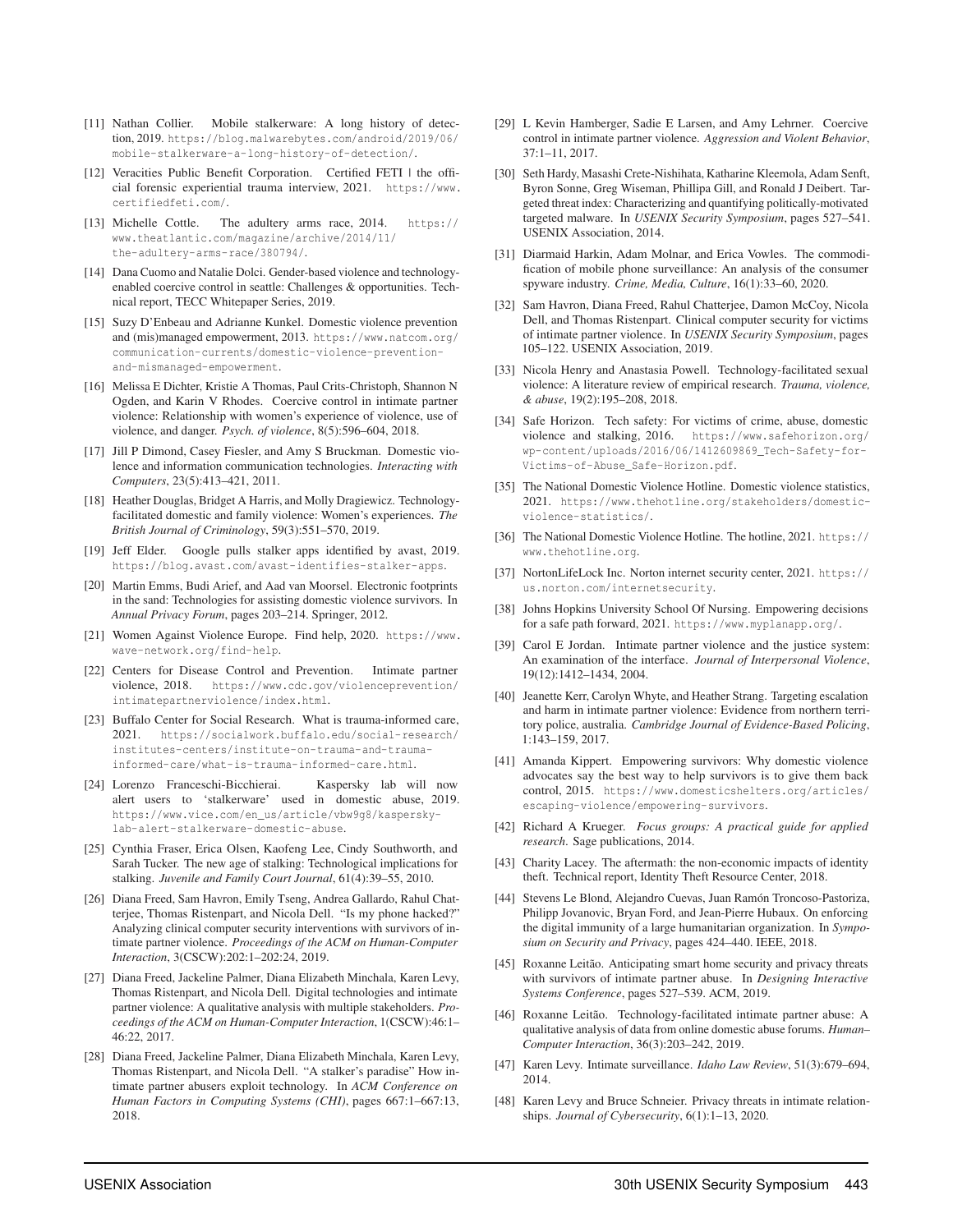- [11] Nathan Collier. Mobile stalkerware: A long history of detection, 2019. https://blog.malwarebytes.com/android/2019/06/ mobile-stalkerware-a-long-history-of-detection/.
- [12] Veracities Public Benefit Corporation. Certified FETI | the official forensic experiential trauma interview, 2021. https://www. certifiedfeti.com/.
- [13] Michelle Cottle. The adultery arms race, 2014. https:// www.theatlantic.com/magazine/archive/2014/11/ the-adultery-arms-race/380794/.
- [14] Dana Cuomo and Natalie Dolci. Gender-based violence and technologyenabled coercive control in seattle: Challenges & opportunities. Technical report, TECC Whitepaper Series, 2019.
- [15] Suzy D'Enbeau and Adrianne Kunkel. Domestic violence prevention and (mis)managed empowerment, 2013. https://www.natcom.org/ communication-currents/domestic-violence-preventionand-mismanaged-empowerment.
- [16] Melissa E Dichter, Kristie A Thomas, Paul Crits-Christoph, Shannon N Ogden, and Karin V Rhodes. Coercive control in intimate partner violence: Relationship with women's experience of violence, use of violence, and danger. *Psych. of violence*, 8(5):596–604, 2018.
- [17] Jill P Dimond, Casey Fiesler, and Amy S Bruckman. Domestic violence and information communication technologies. *Interacting with Computers*, 23(5):413–421, 2011.
- [18] Heather Douglas, Bridget A Harris, and Molly Dragiewicz. Technologyfacilitated domestic and family violence: Women's experiences. *The British Journal of Criminology*, 59(3):551–570, 2019.
- [19] Jeff Elder. Google pulls stalker apps identified by avast, 2019. https://blog.avast.com/avast-identifies-stalker-apps.
- [20] Martin Emms, Budi Arief, and Aad van Moorsel. Electronic footprints in the sand: Technologies for assisting domestic violence survivors. In *Annual Privacy Forum*, pages 203–214. Springer, 2012.
- [21] Women Against Violence Europe. Find help, 2020. https://www. wave-network.org/find-help.
- [22] Centers for Disease Control and Prevention. Intimate partner violence, 2018. https://www.cdc.gov/violenceprevention/ intimatepartnerviolence/index.html.
- [23] Buffalo Center for Social Research. What is trauma-informed care, 2021. https://socialwork.buffalo.edu/social-research/ institutes-centers/institute-on-trauma-and-traumainformed-care/what-is-trauma-informed-care.html.
- [24] Lorenzo Franceschi-Bicchierai. Kaspersky lab will now alert users to 'stalkerware' used in domestic abuse, 2019. https://www.vice.com/en\_us/article/vbw9g8/kasperskylab-alert-stalkerware-domestic-abuse.
- [25] Cynthia Fraser, Erica Olsen, Kaofeng Lee, Cindy Southworth, and Sarah Tucker. The new age of stalking: Technological implications for stalking. *Juvenile and Family Court Journal*, 61(4):39–55, 2010.
- [26] Diana Freed, Sam Havron, Emily Tseng, Andrea Gallardo, Rahul Chatterjee, Thomas Ristenpart, and Nicola Dell. "Is my phone hacked?" Analyzing clinical computer security interventions with survivors of intimate partner violence. *Proceedings of the ACM on Human-Computer Interaction*, 3(CSCW):202:1–202:24, 2019.
- [27] Diana Freed, Jackeline Palmer, Diana Elizabeth Minchala, Karen Levy, Thomas Ristenpart, and Nicola Dell. Digital technologies and intimate partner violence: A qualitative analysis with multiple stakeholders. *Proceedings of the ACM on Human-Computer Interaction*, 1(CSCW):46:1– 46:22, 2017.
- [28] Diana Freed, Jackeline Palmer, Diana Elizabeth Minchala, Karen Levy, Thomas Ristenpart, and Nicola Dell. "A stalker's paradise" How intimate partner abusers exploit technology. In *ACM Conference on Human Factors in Computing Systems (CHI)*, pages 667:1–667:13, 2018.
- [29] L Kevin Hamberger, Sadie E Larsen, and Amy Lehrner. Coercive control in intimate partner violence. *Aggression and Violent Behavior*, 37:1–11, 2017.
- [30] Seth Hardy, Masashi Crete-Nishihata, Katharine Kleemola, Adam Senft, Byron Sonne, Greg Wiseman, Phillipa Gill, and Ronald J Deibert. Targeted threat index: Characterizing and quantifying politically-motivated targeted malware. In *USENIX Security Symposium*, pages 527–541. USENIX Association, 2014.
- [31] Diarmaid Harkin, Adam Molnar, and Erica Vowles. The commodification of mobile phone surveillance: An analysis of the consumer spyware industry. *Crime, Media, Culture*, 16(1):33–60, 2020.
- [32] Sam Havron, Diana Freed, Rahul Chatterjee, Damon McCoy, Nicola Dell, and Thomas Ristenpart. Clinical computer security for victims of intimate partner violence. In *USENIX Security Symposium*, pages 105–122. USENIX Association, 2019.
- [33] Nicola Henry and Anastasia Powell. Technology-facilitated sexual violence: A literature review of empirical research. *Trauma, violence, & abuse*, 19(2):195–208, 2018.
- [34] Safe Horizon. Tech safety: For victims of crime, abuse, domestic violence and stalking, 2016. https://www.safehorizon.org/ wp-content/uploads/2016/06/1412609869\_Tech-Safety-for-Victims-of-Abuse\_Safe-Horizon.pdf.
- [35] The National Domestic Violence Hotline. Domestic violence statistics, 2021. https://www.thehotline.org/stakeholders/domesticviolence-statistics/.
- [36] The National Domestic Violence Hotline. The hotline, 2021. https:// www.thehotline.org.
- [37] NortonLifeLock Inc. Norton internet security center, 2021. https:// us.norton.com/internetsecurity.
- [38] Johns Hopkins University School Of Nursing. Empowering decisions for a safe path forward, 2021. https://www.myplanapp.org/.
- [39] Carol E Jordan. Intimate partner violence and the justice system: An examination of the interface. *Journal of Interpersonal Violence*, 19(12):1412–1434, 2004.
- [40] Jeanette Kerr, Carolyn Whyte, and Heather Strang. Targeting escalation and harm in intimate partner violence: Evidence from northern territory police, australia. *Cambridge Journal of Evidence-Based Policing*, 1:143–159, 2017.
- [41] Amanda Kippert. Empowering survivors: Why domestic violence advocates say the best way to help survivors is to give them back control, 2015. https://www.domesticshelters.org/articles/ escaping-violence/empowering-survivors.
- [42] Richard A Krueger. *Focus groups: A practical guide for applied research*. Sage publications, 2014.
- [43] Charity Lacey. The aftermath: the non-economic impacts of identity theft. Technical report, Identity Theft Resource Center, 2018.
- [44] Stevens Le Blond, Alejandro Cuevas, Juan Ramón Troncoso-Pastoriza, Philipp Jovanovic, Bryan Ford, and Jean-Pierre Hubaux. On enforcing the digital immunity of a large humanitarian organization. In *Symposium on Security and Privacy*, pages 424–440. IEEE, 2018.
- [45] Roxanne Leitão. Anticipating smart home security and privacy threats with survivors of intimate partner abuse. In *Designing Interactive Systems Conference*, pages 527–539. ACM, 2019.
- [46] Roxanne Leitão. Technology-facilitated intimate partner abuse: A qualitative analysis of data from online domestic abuse forums. *Human– Computer Interaction*, 36(3):203–242, 2019.
- [47] Karen Levy. Intimate surveillance. *Idaho Law Review*, 51(3):679–694, 2014.
- [48] Karen Levy and Bruce Schneier. Privacy threats in intimate relationships. *Journal of Cybersecurity*, 6(1):1–13, 2020.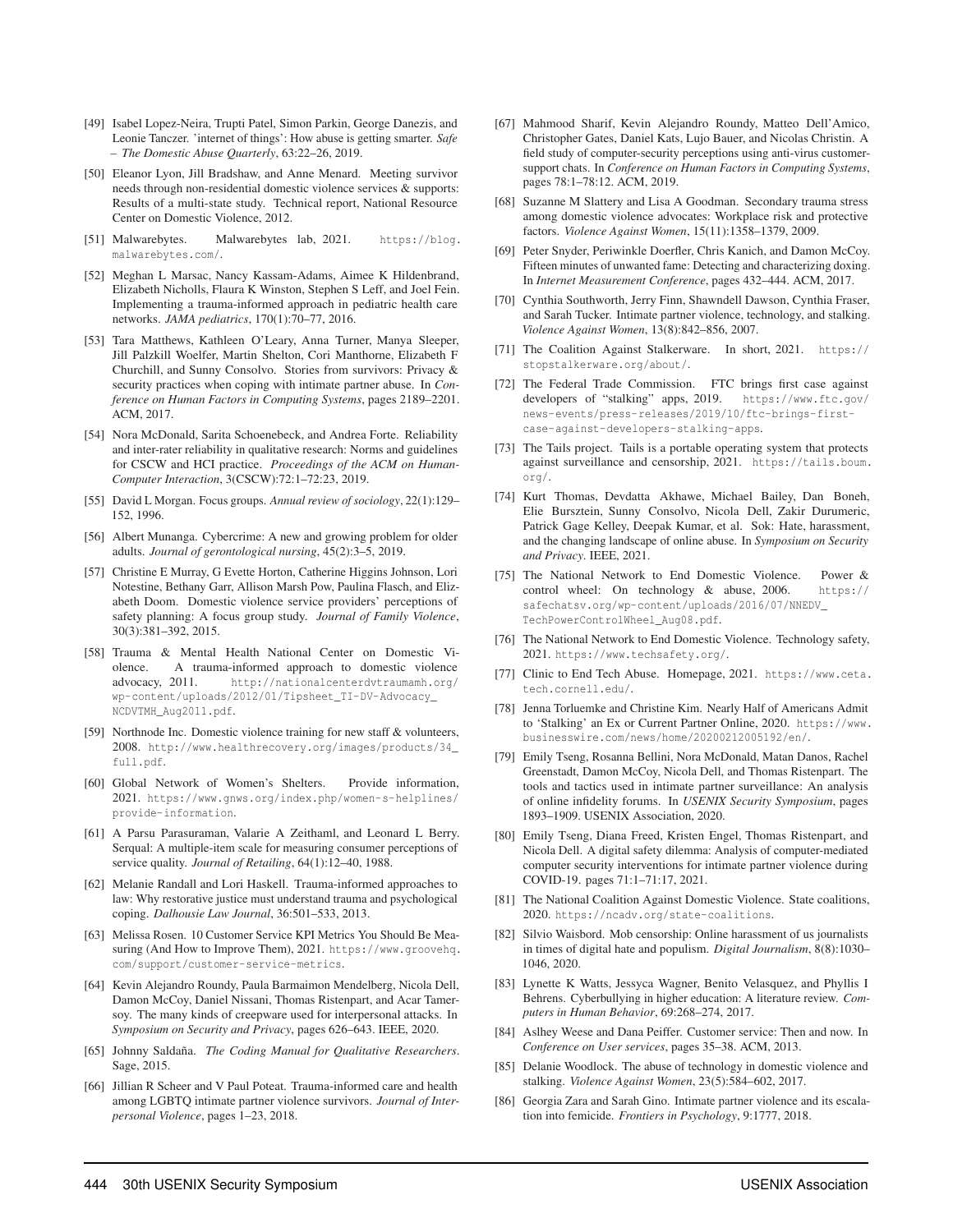- [49] Isabel Lopez-Neira, Trupti Patel, Simon Parkin, George Danezis, and Leonie Tanczer. 'internet of things': How abuse is getting smarter. *Safe – The Domestic Abuse Quarterly*, 63:22–26, 2019.
- [50] Eleanor Lyon, Jill Bradshaw, and Anne Menard. Meeting survivor needs through non-residential domestic violence services & supports: Results of a multi-state study. Technical report, National Resource Center on Domestic Violence, 2012.
- [51] Malwarebytes. Malwarebytes lab, 2021. https://blog. malwarebytes.com/.
- [52] Meghan L Marsac, Nancy Kassam-Adams, Aimee K Hildenbrand, Elizabeth Nicholls, Flaura K Winston, Stephen S Leff, and Joel Fein. Implementing a trauma-informed approach in pediatric health care networks. *JAMA pediatrics*, 170(1):70–77, 2016.
- [53] Tara Matthews, Kathleen O'Leary, Anna Turner, Manya Sleeper, Jill Palzkill Woelfer, Martin Shelton, Cori Manthorne, Elizabeth F Churchill, and Sunny Consolvo. Stories from survivors: Privacy & security practices when coping with intimate partner abuse. In *Conference on Human Factors in Computing Systems*, pages 2189–2201. ACM, 2017.
- [54] Nora McDonald, Sarita Schoenebeck, and Andrea Forte. Reliability and inter-rater reliability in qualitative research: Norms and guidelines for CSCW and HCI practice. *Proceedings of the ACM on Human-Computer Interaction*, 3(CSCW):72:1–72:23, 2019.
- [55] David L Morgan. Focus groups. *Annual review of sociology*, 22(1):129– 152, 1996.
- [56] Albert Munanga. Cybercrime: A new and growing problem for older adults. *Journal of gerontological nursing*, 45(2):3–5, 2019.
- [57] Christine E Murray, G Evette Horton, Catherine Higgins Johnson, Lori Notestine, Bethany Garr, Allison Marsh Pow, Paulina Flasch, and Elizabeth Doom. Domestic violence service providers' perceptions of safety planning: A focus group study. *Journal of Family Violence*, 30(3):381–392, 2015.
- [58] Trauma & Mental Health National Center on Domestic Violence. A trauma-informed approach to domestic violence advocacy, 2011. http://nationalcenterdvtraumamh.org/ wp-content/uploads/2012/01/Tipsheet\_TI-DV-Advocacy\_ NCDVTMH\_Aug2011.pdf.
- [59] Northnode Inc. Domestic violence training for new staff & volunteers, 2008. http://www.healthrecovery.org/images/products/34\_ full.pdf.
- [60] Global Network of Women's Shelters. Provide information, 2021. https://www.gnws.org/index.php/women-s-helplines/ provide-information.
- [61] A Parsu Parasuraman, Valarie A Zeithaml, and Leonard L Berry. Serqual: A multiple-item scale for measuring consumer perceptions of service quality. *Journal of Retailing*, 64(1):12–40, 1988.
- [62] Melanie Randall and Lori Haskell. Trauma-informed approaches to law: Why restorative justice must understand trauma and psychological coping. *Dalhousie Law Journal*, 36:501–533, 2013.
- [63] Melissa Rosen. 10 Customer Service KPI Metrics You Should Be Measuring (And How to Improve Them), 2021. https://www.groovehq. com/support/customer-service-metrics.
- [64] Kevin Alejandro Roundy, Paula Barmaimon Mendelberg, Nicola Dell, Damon McCoy, Daniel Nissani, Thomas Ristenpart, and Acar Tamersoy. The many kinds of creepware used for interpersonal attacks. In *Symposium on Security and Privacy*, pages 626–643. IEEE, 2020.
- [65] Johnny Saldaña. *The Coding Manual for Qualitative Researchers*. Sage, 2015.
- [66] Jillian R Scheer and V Paul Poteat. Trauma-informed care and health among LGBTQ intimate partner violence survivors. *Journal of Interpersonal Violence*, pages 1–23, 2018.
- [67] Mahmood Sharif, Kevin Alejandro Roundy, Matteo Dell'Amico, Christopher Gates, Daniel Kats, Lujo Bauer, and Nicolas Christin. A field study of computer-security perceptions using anti-virus customersupport chats. In *Conference on Human Factors in Computing Systems*, pages 78:1–78:12. ACM, 2019.
- [68] Suzanne M Slattery and Lisa A Goodman. Secondary trauma stress among domestic violence advocates: Workplace risk and protective factors. *Violence Against Women*, 15(11):1358–1379, 2009.
- [69] Peter Snyder, Periwinkle Doerfler, Chris Kanich, and Damon McCoy. Fifteen minutes of unwanted fame: Detecting and characterizing doxing. In *Internet Measurement Conference*, pages 432–444. ACM, 2017.
- [70] Cynthia Southworth, Jerry Finn, Shawndell Dawson, Cynthia Fraser, and Sarah Tucker. Intimate partner violence, technology, and stalking. *Violence Against Women*, 13(8):842–856, 2007.
- [71] The Coalition Against Stalkerware. In short, 2021. https:// stopstalkerware.org/about/.
- [72] The Federal Trade Commission. FTC brings first case against developers of "stalking" apps, 2019. https://www.ftc.gov/ news-events/press-releases/2019/10/ftc-brings-firstcase-against-developers-stalking-apps.
- [73] The Tails project. Tails is a portable operating system that protects against surveillance and censorship, 2021. https://tails.boum. org/.
- [74] Kurt Thomas, Devdatta Akhawe, Michael Bailey, Dan Boneh, Elie Bursztein, Sunny Consolvo, Nicola Dell, Zakir Durumeric, Patrick Gage Kelley, Deepak Kumar, et al. Sok: Hate, harassment, and the changing landscape of online abuse. In *Symposium on Security and Privacy*. IEEE, 2021.
- [75] The National Network to End Domestic Violence. Power & control wheel: On technology & abuse, 2006. https:// safechatsv.org/wp-content/uploads/2016/07/NNEDV\_ TechPowerControlWheel\_Aug08.pdf.
- [76] The National Network to End Domestic Violence. Technology safety, 2021. https://www.techsafety.org/.
- [77] Clinic to End Tech Abuse. Homepage, 2021. https://www.ceta. tech.cornell.edu/.
- [78] Jenna Torluemke and Christine Kim. Nearly Half of Americans Admit to 'Stalking' an Ex or Current Partner Online, 2020. https://www. businesswire.com/news/home/20200212005192/en/.
- [79] Emily Tseng, Rosanna Bellini, Nora McDonald, Matan Danos, Rachel Greenstadt, Damon McCoy, Nicola Dell, and Thomas Ristenpart. The tools and tactics used in intimate partner surveillance: An analysis of online infidelity forums. In *USENIX Security Symposium*, pages 1893–1909. USENIX Association, 2020.
- [80] Emily Tseng, Diana Freed, Kristen Engel, Thomas Ristenpart, and Nicola Dell. A digital safety dilemma: Analysis of computer-mediated computer security interventions for intimate partner violence during COVID-19. pages 71:1–71:17, 2021.
- [81] The National Coalition Against Domestic Violence. State coalitions, 2020. https://ncadv.org/state-coalitions.
- [82] Silvio Waisbord. Mob censorship: Online harassment of us journalists in times of digital hate and populism. *Digital Journalism*, 8(8):1030– 1046, 2020.
- [83] Lynette K Watts, Jessyca Wagner, Benito Velasquez, and Phyllis I Behrens. Cyberbullying in higher education: A literature review. *Computers in Human Behavior*, 69:268–274, 2017.
- [84] Aslhey Weese and Dana Peiffer. Customer service: Then and now. In *Conference on User services*, pages 35–38. ACM, 2013.
- [85] Delanie Woodlock. The abuse of technology in domestic violence and stalking. *Violence Against Women*, 23(5):584–602, 2017.
- [86] Georgia Zara and Sarah Gino. Intimate partner violence and its escalation into femicide. *Frontiers in Psychology*, 9:1777, 2018.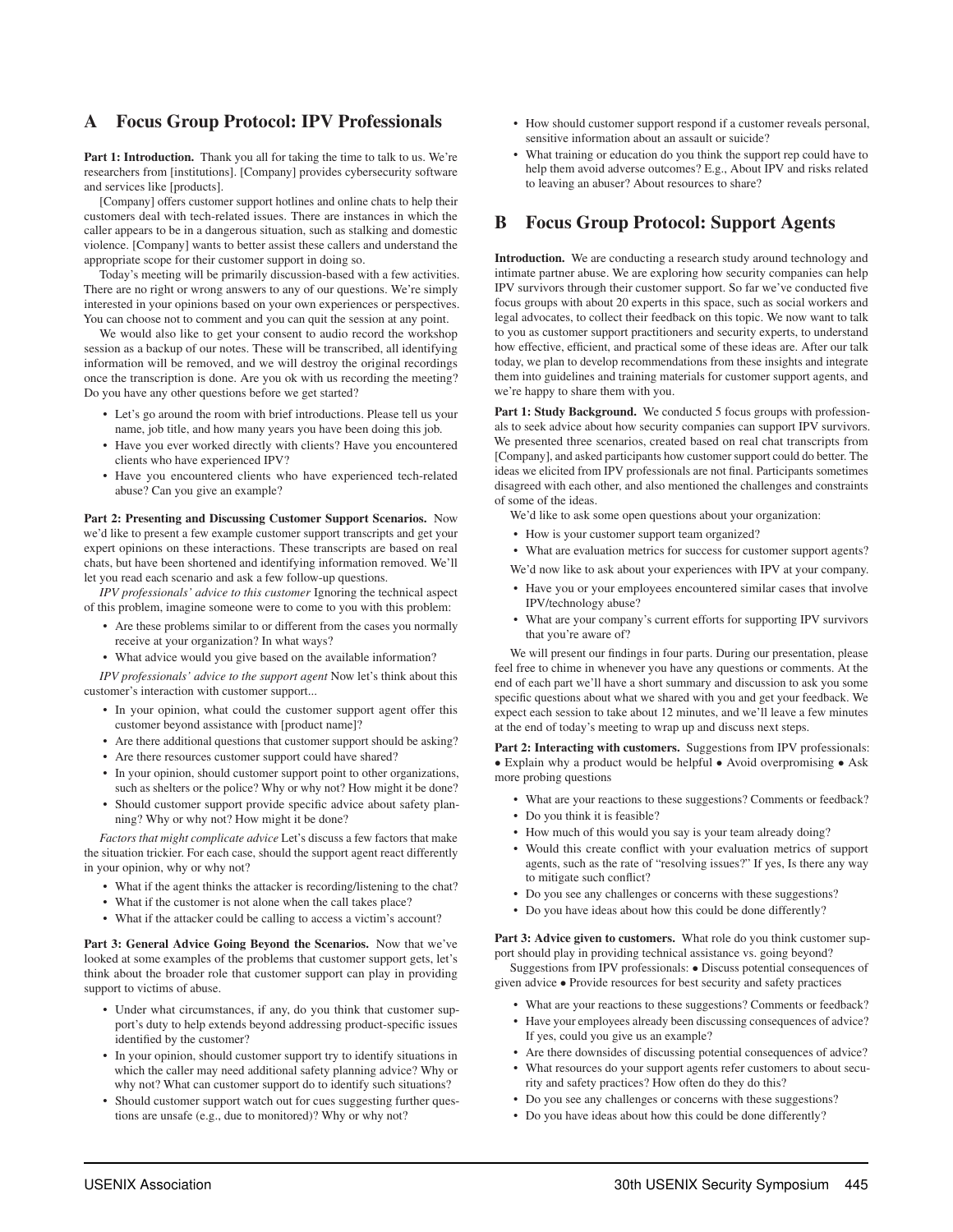#### A Focus Group Protocol: IPV Professionals

Part 1: Introduction. Thank you all for taking the time to talk to us. We're researchers from [institutions]. [Company] provides cybersecurity software and services like [products].

[Company] offers customer support hotlines and online chats to help their customers deal with tech-related issues. There are instances in which the caller appears to be in a dangerous situation, such as stalking and domestic violence. [Company] wants to better assist these callers and understand the appropriate scope for their customer support in doing so.

Today's meeting will be primarily discussion-based with a few activities. There are no right or wrong answers to any of our questions. We're simply interested in your opinions based on your own experiences or perspectives. You can choose not to comment and you can quit the session at any point.

We would also like to get your consent to audio record the workshop session as a backup of our notes. These will be transcribed, all identifying information will be removed, and we will destroy the original recordings once the transcription is done. Are you ok with us recording the meeting? Do you have any other questions before we get started?

- Let's go around the room with brief introductions. Please tell us your name, job title, and how many years you have been doing this job.
- Have you ever worked directly with clients? Have you encountered clients who have experienced IPV?
- Have you encountered clients who have experienced tech-related abuse? Can you give an example?

Part 2: Presenting and Discussing Customer Support Scenarios. Now we'd like to present a few example customer support transcripts and get your expert opinions on these interactions. These transcripts are based on real chats, but have been shortened and identifying information removed. We'll let you read each scenario and ask a few follow-up questions.

*IPV professionals' advice to this customer* Ignoring the technical aspect of this problem, imagine someone were to come to you with this problem:

- Are these problems similar to or different from the cases you normally receive at your organization? In what ways?
- What advice would you give based on the available information?

*IPV professionals' advice to the support agent* Now let's think about this customer's interaction with customer support...

- In your opinion, what could the customer support agent offer this customer beyond assistance with [product name]?
- Are there additional questions that customer support should be asking?
- Are there resources customer support could have shared?
- In your opinion, should customer support point to other organizations, such as shelters or the police? Why or why not? How might it be done?
- Should customer support provide specific advice about safety planning? Why or why not? How might it be done?

*Factors that might complicate advice* Let's discuss a few factors that make the situation trickier. For each case, should the support agent react differently in your opinion, why or why not?

- What if the agent thinks the attacker is recording/listening to the chat?
- What if the customer is not alone when the call takes place?
- What if the attacker could be calling to access a victim's account?

Part 3: General Advice Going Beyond the Scenarios. Now that we've looked at some examples of the problems that customer support gets, let's think about the broader role that customer support can play in providing support to victims of abuse.

- Under what circumstances, if any, do you think that customer support's duty to help extends beyond addressing product-specific issues identified by the customer?
- In your opinion, should customer support try to identify situations in which the caller may need additional safety planning advice? Why or why not? What can customer support do to identify such situations?
- Should customer support watch out for cues suggesting further questions are unsafe (e.g., due to monitored)? Why or why not?
- How should customer support respond if a customer reveals personal, sensitive information about an assault or suicide?
- What training or education do you think the support rep could have to help them avoid adverse outcomes? E.g., About IPV and risks related to leaving an abuser? About resources to share?

#### B Focus Group Protocol: Support Agents

Introduction. We are conducting a research study around technology and intimate partner abuse. We are exploring how security companies can help IPV survivors through their customer support. So far we've conducted five focus groups with about 20 experts in this space, such as social workers and legal advocates, to collect their feedback on this topic. We now want to talk to you as customer support practitioners and security experts, to understand how effective, efficient, and practical some of these ideas are. After our talk today, we plan to develop recommendations from these insights and integrate them into guidelines and training materials for customer support agents, and we're happy to share them with you.

Part 1: Study Background. We conducted 5 focus groups with professionals to seek advice about how security companies can support IPV survivors. We presented three scenarios, created based on real chat transcripts from [Company], and asked participants how customer support could do better. The ideas we elicited from IPV professionals are not final. Participants sometimes disagreed with each other, and also mentioned the challenges and constraints of some of the ideas.

We'd like to ask some open questions about your organization:

- How is your customer support team organized?
- What are evaluation metrics for success for customer support agents?

We'd now like to ask about your experiences with IPV at your company.

- Have you or your employees encountered similar cases that involve IPV/technology abuse?
- What are your company's current efforts for supporting IPV survivors that you're aware of?

We will present our findings in four parts. During our presentation, please feel free to chime in whenever you have any questions or comments. At the end of each part we'll have a short summary and discussion to ask you some specific questions about what we shared with you and get your feedback. We expect each session to take about 12 minutes, and we'll leave a few minutes at the end of today's meeting to wrap up and discuss next steps.

Part 2: Interacting with customers. Suggestions from IPV professionals: • Explain why a product would be helpful • Avoid overpromising • Ask more probing questions

- What are your reactions to these suggestions? Comments or feedback?
- Do you think it is feasible?
- How much of this would you say is your team already doing?
- Would this create conflict with your evaluation metrics of support agents, such as the rate of "resolving issues?" If yes, Is there any way to mitigate such conflict?
- Do you see any challenges or concerns with these suggestions?
- Do you have ideas about how this could be done differently?

Part 3: Advice given to customers. What role do you think customer support should play in providing technical assistance vs. going beyond?

Suggestions from IPV professionals: • Discuss potential consequences of given advice • Provide resources for best security and safety practices

- What are your reactions to these suggestions? Comments or feedback?
- Have your employees already been discussing consequences of advice? If yes, could you give us an example?
- Are there downsides of discussing potential consequences of advice?
- What resources do your support agents refer customers to about security and safety practices? How often do they do this?
- Do you see any challenges or concerns with these suggestions?
- Do you have ideas about how this could be done differently?